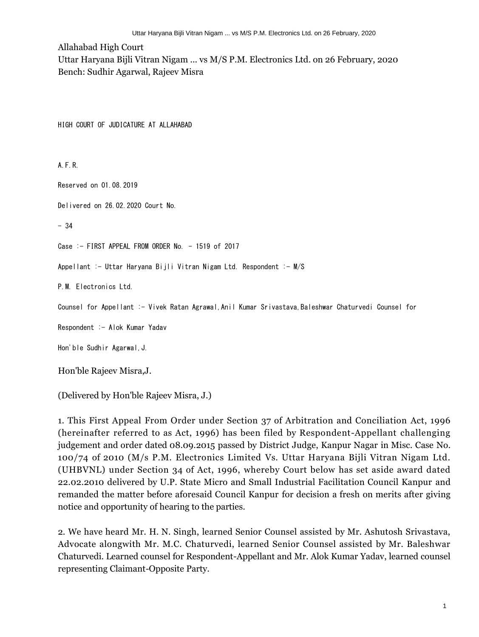#### Allahabad High Court

Uttar Haryana Bijli Vitran Nigam ... vs M/S P.M. Electronics Ltd. on 26 February, 2020 Bench: Sudhir Agarwal, Rajeev Misra

HIGH COURT OF JUDICATURE AT ALLAHABAD

A.F.R.

Reserved on 01.08.2019

Delivered on 26.02.2020 Court No.

 $-34$ 

Case :- FIRST APPEAL FROM ORDER No.  $-$  1519 of 2017

Appellant :- Uttar Haryana Bijli Vitran Nigam Ltd. Respondent :- M/S

P.M. Electronics Ltd.

Counsel for Appellant :- Vivek Ratan Agrawal,Anil Kumar Srivastava,Baleshwar Chaturvedi Counsel for

Respondent :- Alok Kumar Yadav

Hon'ble Sudhir Agarwal, J.

Hon'ble Rajeev Misra,J.

(Delivered by Hon'ble Rajeev Misra, J.)

1. This First Appeal From Order under Section 37 of Arbitration and Conciliation Act, 1996 (hereinafter referred to as Act, 1996) has been filed by Respondent-Appellant challenging judgement and order dated 08.09.2015 passed by District Judge, Kanpur Nagar in Misc. Case No. 100/74 of 2010 (M/s P.M. Electronics Limited Vs. Uttar Haryana Bijli Vitran Nigam Ltd. (UHBVNL) under Section 34 of Act, 1996, whereby Court below has set aside award dated 22.02.2010 delivered by U.P. State Micro and Small Industrial Facilitation Council Kanpur and remanded the matter before aforesaid Council Kanpur for decision a fresh on merits after giving notice and opportunity of hearing to the parties.

2. We have heard Mr. H. N. Singh, learned Senior Counsel assisted by Mr. Ashutosh Srivastava, Advocate alongwith Mr. M.C. Chaturvedi, learned Senior Counsel assisted by Mr. Baleshwar Chaturvedi. Learned counsel for Respondent-Appellant and Mr. Alok Kumar Yadav, learned counsel representing Claimant-Opposite Party.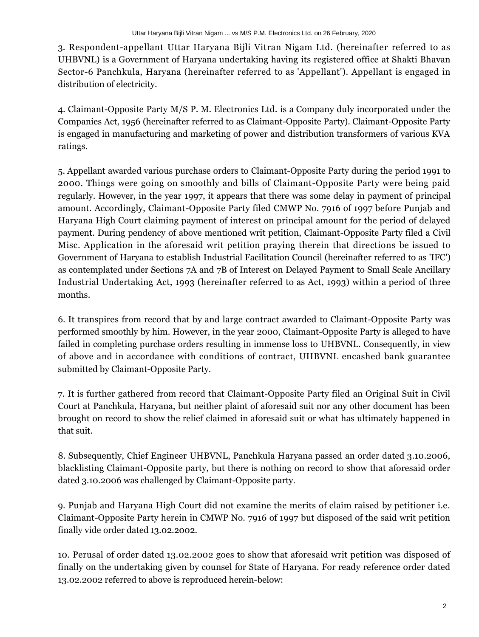3. Respondent-appellant Uttar Haryana Bijli Vitran Nigam Ltd. (hereinafter referred to as UHBVNL) is a Government of Haryana undertaking having its registered office at Shakti Bhavan Sector-6 Panchkula, Haryana (hereinafter referred to as 'Appellant'). Appellant is engaged in distribution of electricity.

4. Claimant-Opposite Party M/S P. M. Electronics Ltd. is a Company duly incorporated under the Companies Act, 1956 (hereinafter referred to as Claimant-Opposite Party). Claimant-Opposite Party is engaged in manufacturing and marketing of power and distribution transformers of various KVA ratings.

5. Appellant awarded various purchase orders to Claimant-Opposite Party during the period 1991 to 2000. Things were going on smoothly and bills of Claimant-Opposite Party were being paid regularly. However, in the year 1997, it appears that there was some delay in payment of principal amount. Accordingly, Claimant-Opposite Party filed CMWP No. 7916 of 1997 before Punjab and Haryana High Court claiming payment of interest on principal amount for the period of delayed payment. During pendency of above mentioned writ petition, Claimant-Opposite Party filed a Civil Misc. Application in the aforesaid writ petition praying therein that directions be issued to Government of Haryana to establish Industrial Facilitation Council (hereinafter referred to as 'IFC') as contemplated under Sections 7A and 7B of Interest on Delayed Payment to Small Scale Ancillary Industrial Undertaking Act, 1993 (hereinafter referred to as Act, 1993) within a period of three months.

6. It transpires from record that by and large contract awarded to Claimant-Opposite Party was performed smoothly by him. However, in the year 2000, Claimant-Opposite Party is alleged to have failed in completing purchase orders resulting in immense loss to UHBVNL. Consequently, in view of above and in accordance with conditions of contract, UHBVNL encashed bank guarantee submitted by Claimant-Opposite Party.

7. It is further gathered from record that Claimant-Opposite Party filed an Original Suit in Civil Court at Panchkula, Haryana, but neither plaint of aforesaid suit nor any other document has been brought on record to show the relief claimed in aforesaid suit or what has ultimately happened in that suit.

8. Subsequently, Chief Engineer UHBVNL, Panchkula Haryana passed an order dated 3.10.2006, blacklisting Claimant-Opposite party, but there is nothing on record to show that aforesaid order dated 3.10.2006 was challenged by Claimant-Opposite party.

9. Punjab and Haryana High Court did not examine the merits of claim raised by petitioner i.e. Claimant-Opposite Party herein in CMWP No. 7916 of 1997 but disposed of the said writ petition finally vide order dated 13.02.2002.

10. Perusal of order dated 13.02.2002 goes to show that aforesaid writ petition was disposed of finally on the undertaking given by counsel for State of Haryana. For ready reference order dated 13.02.2002 referred to above is reproduced herein-below: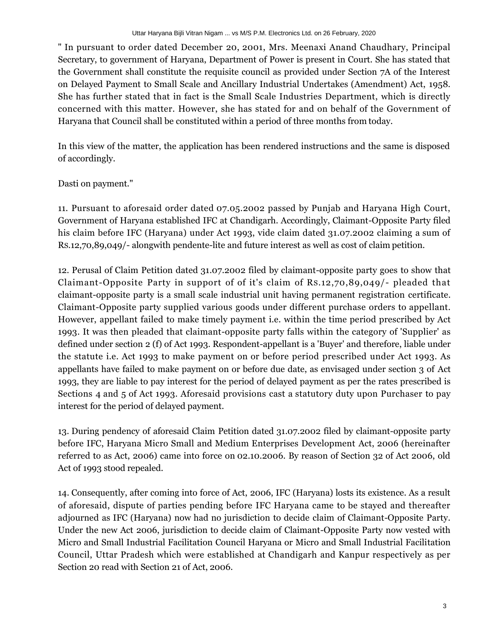" In pursuant to order dated December 20, 2001, Mrs. Meenaxi Anand Chaudhary, Principal Secretary, to government of Haryana, Department of Power is present in Court. She has stated that the Government shall constitute the requisite council as provided under Section 7A of the Interest on Delayed Payment to Small Scale and Ancillary Industrial Undertakes (Amendment) Act, 1958. She has further stated that in fact is the Small Scale Industries Department, which is directly concerned with this matter. However, she has stated for and on behalf of the Government of Haryana that Council shall be constituted within a period of three months from today.

In this view of the matter, the application has been rendered instructions and the same is disposed of accordingly.

## Dasti on payment."

11. Pursuant to aforesaid order dated 07.05.2002 passed by Punjab and Haryana High Court, Government of Haryana established IFC at Chandigarh. Accordingly, Claimant-Opposite Party filed his claim before IFC (Haryana) under Act 1993, vide claim dated 31.07.2002 claiming a sum of RS.12,70,89,049/- alongwith pendente-lite and future interest as well as cost of claim petition.

12. Perusal of Claim Petition dated 31.07.2002 filed by claimant-opposite party goes to show that Claimant-Opposite Party in support of of it's claim of RS.12,70,89,049/- pleaded that claimant-opposite party is a small scale industrial unit having permanent registration certificate. Claimant-Opposite party supplied various goods under different purchase orders to appellant. However, appellant failed to make timely payment i.e. within the time period prescribed by Act 1993. It was then pleaded that claimant-opposite party falls within the category of 'Supplier' as defined under section 2 (f) of Act 1993. Respondent-appellant is a 'Buyer' and therefore, liable under the statute i.e. Act 1993 to make payment on or before period prescribed under Act 1993. As appellants have failed to make payment on or before due date, as envisaged under section 3 of Act 1993, they are liable to pay interest for the period of delayed payment as per the rates prescribed is Sections 4 and 5 of Act 1993. Aforesaid provisions cast a statutory duty upon Purchaser to pay interest for the period of delayed payment.

13. During pendency of aforesaid Claim Petition dated 31.07.2002 filed by claimant-opposite party before IFC, Haryana Micro Small and Medium Enterprises Development Act, 2006 (hereinafter referred to as Act, 2006) came into force on 02.10.2006. By reason of Section 32 of Act 2006, old Act of 1993 stood repealed.

14. Consequently, after coming into force of Act, 2006, IFC (Haryana) losts its existence. As a result of aforesaid, dispute of parties pending before IFC Haryana came to be stayed and thereafter adjourned as IFC (Haryana) now had no jurisdiction to decide claim of Claimant-Opposite Party. Under the new Act 2006, jurisdiction to decide claim of Claimant-Opposite Party now vested with Micro and Small Industrial Facilitation Council Haryana or Micro and Small Industrial Facilitation Council, Uttar Pradesh which were established at Chandigarh and Kanpur respectively as per Section 20 read with Section 21 of Act, 2006.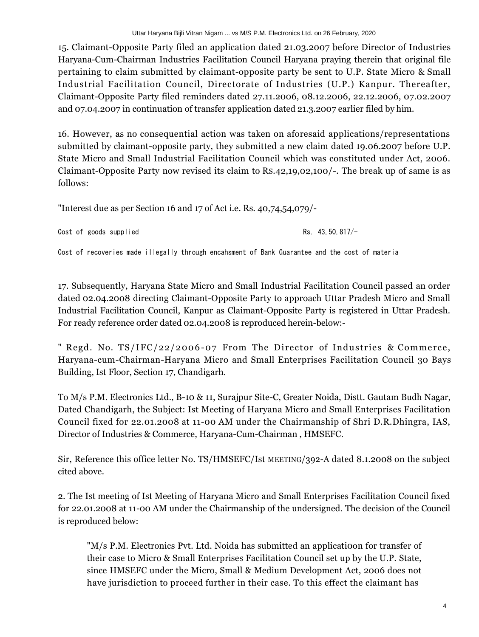15. Claimant-Opposite Party filed an application dated 21.03.2007 before Director of Industries Haryana-Cum-Chairman Industries Facilitation Council Haryana praying therein that original file pertaining to claim submitted by claimant-opposite party be sent to U.P. State Micro & Small Industrial Facilitation Council, Directorate of Industries (U.P.) Kanpur. Thereafter, Claimant-Opposite Party filed reminders dated 27.11.2006, 08.12.2006, 22.12.2006, 07.02.2007 and 07.04.2007 in continuation of transfer application dated 21.3.2007 earlier filed by him.

16. However, as no consequential action was taken on aforesaid applications/representations submitted by claimant-opposite party, they submitted a new claim dated 19.06.2007 before U.P. State Micro and Small Industrial Facilitation Council which was constituted under Act, 2006. Claimant-Opposite Party now revised its claim to RS.42,19,02,100/-. The break up of same is as follows:

"Interest due as per Section 16 and 17 of Act i.e. Rs. 40,74,54,079/-

 $Cost of goods supplied$   $Rs. 43,50,817/-\n$ 

Cost of recoveries made illegally through encahsment of Bank Guarantee and the cost of materia

17. Subsequently, Haryana State Micro and Small Industrial Facilitation Council passed an order dated 02.04.2008 directing Claimant-Opposite Party to approach Uttar Pradesh Micro and Small Industrial Facilitation Council, Kanpur as Claimant-Opposite Party is registered in Uttar Pradesh. For ready reference order dated 02.04.2008 is reproduced herein-below:-

" Regd. No. TS/IFC/22/2006-07 From The Director of Industries & Commerce, Haryana-cum-Chairman-Haryana Micro and Small Enterprises Facilitation Council 30 Bays Building, Ist Floor, Section 17, Chandigarh.

To M/s P.M. Electronics Ltd., B-10 & 11, Surajpur Site-C, Greater Noida, Distt. Gautam Budh Nagar, Dated Chandigarh, the Subject: Ist Meeting of Haryana Micro and Small Enterprises Facilitation Council fixed for 22.01.2008 at 11-00 AM under the Chairmanship of Shri D.R.Dhingra, IAS, Director of Industries & Commerce, Haryana-Cum-Chairman , HMSEFC.

Sir, Reference this office letter No. TS/HMSEFC/Ist MEETING/392-A dated 8.1.2008 on the subject cited above.

2. The Ist meeting of Ist Meeting of Haryana Micro and Small Enterprises Facilitation Council fixed for 22.01.2008 at 11-00 AM under the Chairmanship of the undersigned. The decision of the Council is reproduced below:

 $M/s$  P.M. Electronics Pvt. Ltd. Noida has submitted an applicatioon for transfer of their case to Micro & Small Enterprises Facilitation Council set up by the U.P. State, since HMSEFC under the Micro, Small & Medium Development Act, 2006 does not have jurisdiction to proceed further in their case. To this effect the claimant has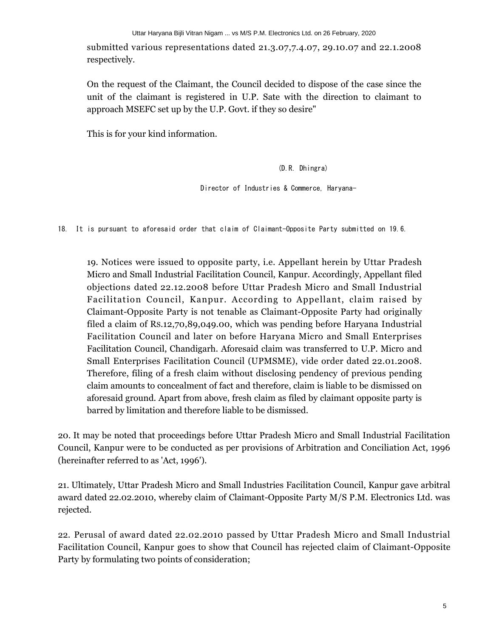submitted various representations dated 21.3.07,7.4.07, 29.10.07 and 22.1.2008 respectively.

On the request of the Claimant, the Council decided to dispose of the case since the unit of the claimant is registered in U.P. Sate with the direction to claimant to approach MSEFC set up by the U.P. Govt. if they so desire"

This is for your kind information.

(D.R. Dhingra)

Director of Industries & Commerce, Haryana-

18. It is pursuant to aforesaid order that claim of Claimant-Opposite Party submitted on 19.6.

19. Notices were issued to opposite party, i.e. Appellant herein by Uttar Pradesh Micro and Small Industrial Facilitation Council, Kanpur. Accordingly, Appellant filed objections dated 22.12.2008 before Uttar Pradesh Micro and Small Industrial Facilitation Council, Kanpur. According to Appellant, claim raised by Claimant-Opposite Party is not tenable as Claimant-Opposite Party had originally filed a claim of RS.12,70,89,049.00, which was pending before Haryana Industrial Facilitation Council and later on before Haryana Micro and Small Enterprises Facilitation Council, Chandigarh. Aforesaid claim was transferred to U.P. Micro and Small Enterprises Facilitation Council (UPMSME), vide order dated 22.01.2008. Therefore, filing of a fresh claim without disclosing pendency of previous pending claim amounts to concealment of fact and therefore, claim is liable to be dismissed on aforesaid ground. Apart from above, fresh claim as filed by claimant opposite party is barred by limitation and therefore liable to be dismissed.

20. It may be noted that proceedings before Uttar Pradesh Micro and Small Industrial Facilitation Council, Kanpur were to be conducted as per provisions of Arbitration and Conciliation Act, 1996 (hereinafter referred to as 'Act, 1996').

21. Ultimately, Uttar Pradesh Micro and Small Industries Facilitation Council, Kanpur gave arbitral award dated 22.02.2010, whereby claim of Claimant-Opposite Party M/S P.M. Electronics Ltd. was rejected.

22. Perusal of award dated 22.02.2010 passed by Uttar Pradesh Micro and Small Industrial Facilitation Council, Kanpur goes to show that Council has rejected claim of Claimant-Opposite Party by formulating two points of consideration;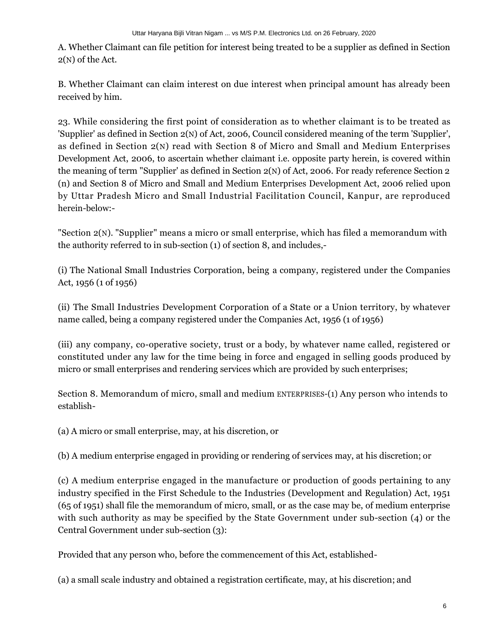A. Whether Claimant can file petition for interest being treated to be a supplier as defined in Section 2(N) of the Act.

B. Whether Claimant can claim interest on due interest when principal amount has already been received by him.

23. While considering the first point of consideration as to whether claimant is to be treated as 'Supplier' as defined in Section 2(N) of Act, 2006, Council considered meaning of the term 'Supplier', as defined in Section 2(N) read with Section 8 of Micro and Small and Medium Enterprises Development Act, 2006, to ascertain whether claimant i.e. opposite party herein, is covered within the meaning of term "Supplier' as defined in Section 2(N) of Act, 2006. For ready reference Section 2 (n) and Section 8 of Micro and Small and Medium Enterprises Development Act, 2006 relied upon by Uttar Pradesh Micro and Small Industrial Facilitation Council, Kanpur, are reproduced herein-below:-

"Section 2(N). "Supplier" means a micro or small enterprise, which has filed a memorandum with the authority referred to in sub-section (1) of section 8, and includes,-

(i) The National Small Industries Corporation, being a company, registered under the Companies Act, 1956 (1 of 1956)

(ii) The Small Industries Development Corporation of a State or a Union territory, by whatever name called, being a company registered under the Companies Act, 1956 (1 of 1956)

(iii) any company, co-operative society, trust or a body, by whatever name called, registered or constituted under any law for the time being in force and engaged in selling goods produced by micro or small enterprises and rendering services which are provided by such enterprises;

Section 8. Memorandum of micro, small and medium ENTERPRISES-(1) Any person who intends to establish-

(a) A micro or small enterprise, may, at his discretion, or

(b) A medium enterprise engaged in providing or rendering of services may, at his discretion; or

(c) A medium enterprise engaged in the manufacture or production of goods pertaining to any industry specified in the First Schedule to the Industries (Development and Regulation) Act, 1951 (65 of 1951) shall file the memorandum of micro, small, or as the case may be, of medium enterprise with such authority as may be specified by the State Government under sub-section (4) or the Central Government under sub-section (3):

Provided that any person who, before the commencement of this Act, established-

(a) a small scale industry and obtained a registration certificate, may, at his discretion; and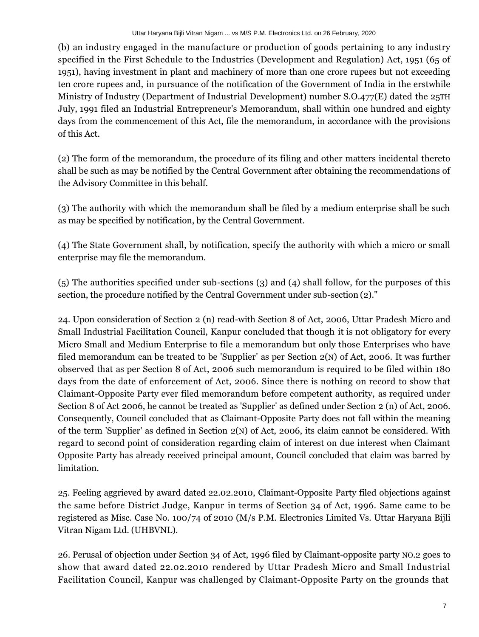(b) an industry engaged in the manufacture or production of goods pertaining to any industry specified in the First Schedule to the Industries (Development and Regulation) Act, 1951 (65 of 1951), having investment in plant and machinery of more than one crore rupees but not exceeding ten crore rupees and, in pursuance of the notification of the Government of India in the erstwhile Ministry of Industry (Department of Industrial Development) number S.O.477(E) dated the 25TH July, 1991 filed an Industrial Entrepreneur's Memorandum, shall within one hundred and eighty days from the commencement of this Act, file the memorandum, in accordance with the provisions of this Act.

(2) The form of the memorandum, the procedure of its filing and other matters incidental thereto shall be such as may be notified by the Central Government after obtaining the recommendations of the Advisory Committee in this behalf.

(3) The authority with which the memorandum shall be filed by a medium enterprise shall be such as may be specified by notification, by the Central Government.

(4) The State Government shall, by notification, specify the authority with which a micro or small enterprise may file the memorandum.

(5) The authorities specified under sub-sections (3) and (4) shall follow, for the purposes of this section, the procedure notified by the Central Government under sub-section (2)."

24. Upon consideration of Section 2 (n) read-with Section 8 of Act, 2006, Uttar Pradesh Micro and Small Industrial Facilitation Council, Kanpur concluded that though it is not obligatory for every Micro Small and Medium Enterprise to file a memorandum but only those Enterprises who have filed memorandum can be treated to be 'Supplier' as per Section 2(N) of Act, 2006. It was further observed that as per Section 8 of Act, 2006 such memorandum is required to be filed within 180 days from the date of enforcement of Act, 2006. Since there is nothing on record to show that Claimant-Opposite Party ever filed memorandum before competent authority, as required under Section 8 of Act 2006, he cannot be treated as 'Supplier' as defined under Section 2 (n) of Act, 2006. Consequently, Council concluded that as Claimant-Opposite Party does not fall within the meaning of the term 'Supplier' as defined in Section 2(N) of Act, 2006, its claim cannot be considered. With regard to second point of consideration regarding claim of interest on due interest when Claimant Opposite Party has already received principal amount, Council concluded that claim was barred by limitation.

25. Feeling aggrieved by award dated 22.02.2010, Claimant-Opposite Party filed objections against the same before District Judge, Kanpur in terms of Section 34 of Act, 1996. Same came to be registered as Misc. Case No. 100/74 of 2010 (M/s P.M. Electronics Limited Vs. Uttar Haryana Bijli Vitran Nigam Ltd. (UHBVNL).

26. Perusal of objection under Section 34 of Act, 1996 filed by Claimant-opposite party NO.2 goes to show that award dated 22.02.2010 rendered by Uttar Pradesh Micro and Small Industrial Facilitation Council, Kanpur was challenged by Claimant-Opposite Party on the grounds that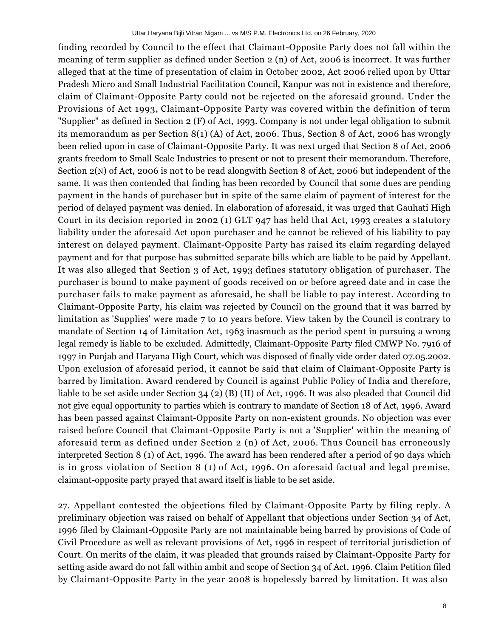finding recorded by Council to the effect that Claimant-Opposite Party does not fall within the meaning of term supplier as defined under Section 2 (n) of Act, 2006 is incorrect. It was further alleged that at the time of presentation of claim in October 2002, Act 2006 relied upon by Uttar Pradesh Micro and Small Industrial Facilitation Council, Kanpur was not in existence and therefore, claim of Claimant-Opposite Party could not be rejected on the aforesaid ground. Under the Provisions of Act 1993, Claimant-Opposite Party was covered within the definition of term "Supplier" as defined in Section 2 (F) of Act, 1993. Company is not under legal obligation to submit its memorandum as per Section 8(1) (A) of Act, 2006. Thus, Section 8 of Act, 2006 has wrongly been relied upon in case of Claimant-Opposite Party. It was next urged that Section 8 of Act, 2006 grants freedom to Small Scale Industries to present or not to present their memorandum. Therefore, Section 2(N) of Act, 2006 is not to be read alongwith Section 8 of Act, 2006 but independent of the same. It was then contended that finding has been recorded by Council that some dues are pending payment in the hands of purchaser but in spite of the same claim of payment of interest for the period of delayed payment was denied. In elaboration of aforesaid, it was urged that Gauhati High Court in its decision reported in 2002 (1) GLT 947 has held that Act, 1993 creates a statutory liability under the aforesaid Act upon purchaser and he cannot be relieved of his liability to pay interest on delayed payment. Claimant-Opposite Party has raised its claim regarding delayed payment and for that purpose has submitted separate bills which are liable to be paid by Appellant. It was also alleged that Section 3 of Act, 1993 defines statutory obligation of purchaser. The purchaser is bound to make payment of goods received on or before agreed date and in case the purchaser fails to make payment as aforesaid, he shall be liable to pay interest. According to Claimant-Opposite Party, his claim was rejected by Council on the ground that it was barred by limitation as 'Supplies' were made 7 to 10 years before. View taken by the Council is contrary to mandate of Section 14 of Limitation Act, 1963 inasmuch as the period spent in pursuing a wrong legal remedy is liable to be excluded. Admittedly, Claimant-Opposite Party filed CMWP No. 7916 of 1997 in Punjab and Haryana High Court, which was disposed of finally vide order dated 07.05.2002. Upon exclusion of aforesaid period, it cannot be said that claim of Claimant-Opposite Party is barred by limitation. Award rendered by Council is against Public Policy of India and therefore, liable to be set aside under Section 34 (2) (B) (II) of Act, 1996. It was also pleaded that Council did not give equal opportunity to parties which is contrary to mandate of Section 18 of Act, 1996. Award has been passed against Claimant-Opposite Party on non-existent grounds. No objection was ever raised before Council that Claimant-Opposite Party is not a 'Supplier' within the meaning of aforesaid term as defined under Section 2 (n) of Act, 2006. Thus Council has erroneously interpreted Section 8 (1) of Act, 1996. The award has been rendered after a period of 90 days which is in gross violation of Section 8 (1) of Act, 1996. On aforesaid factual and legal premise, claimant-opposite party prayed that award itself is liable to be set aside.

27. Appellant contested the objections filed by Claimant-Opposite Party by filing reply. A preliminary objection was raised on behalf of Appellant that objections under Section 34 of Act, 1996 filed by Claimant-Opposite Party are not maintainable being barred by provisions of Code of Civil Procedure as well as relevant provisions of Act, 1996 in respect of territorial jurisdiction of Court. On merits of the claim, it was pleaded that grounds raised by Claimant-Opposite Party for setting aside award do not fall within ambit and scope of Section 34 of Act, 1996. Claim Petition filed by Claimant-Opposite Party in the year 2008 is hopelessly barred by limitation. It was also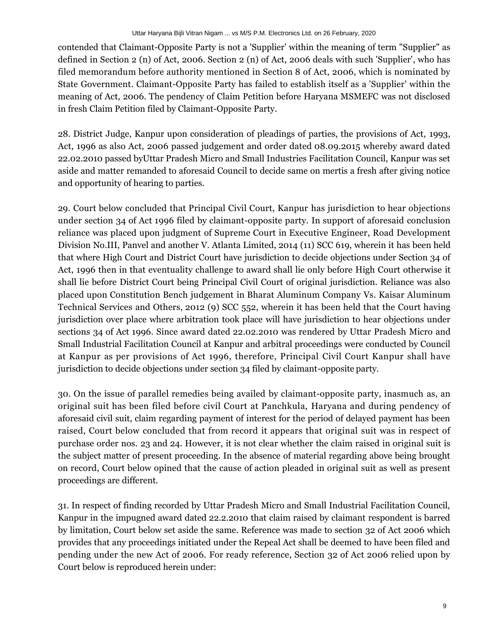contended that Claimant-Opposite Party is not a 'Supplier' within the meaning of term "Supplier" as defined in Section 2 (n) of Act, 2006. Section 2 (n) of Act, 2006 deals with such 'Supplier', who has filed memorandum before authority mentioned in Section 8 of Act, 2006, which is nominated by State Government. Claimant-Opposite Party has failed to establish itself as a 'Supplier' within the meaning of Act, 2006. The pendency of Claim Petition before Haryana MSMEFC was not disclosed in fresh Claim Petition filed by Claimant-Opposite Party.

28. District Judge, Kanpur upon consideration of pleadings of parties, the provisions of Act, 1993, Act, 1996 as also Act, 2006 passed judgement and order dated 08.09.2015 whereby award dated 22.02.2010 passed byUttar Pradesh Micro and Small Industries Facilitation Council, Kanpur was set aside and matter remanded to aforesaid Council to decide same on mertis a fresh after giving notice and opportunity of hearing to parties.

29. Court below concluded that Principal Civil Court, Kanpur has jurisdiction to hear objections under section 34 of Act 1996 filed by claimant-opposite party. In support of aforesaid conclusion reliance was placed upon judgment of Supreme Court in Executive Engineer, Road Development Division No.III, Panvel and another V. Atlanta Limited, 2014 (11) SCC 619, wherein it has been held that where High Court and District Court have jurisdiction to decide objections under Section 34 of Act, 1996 then in that eventuality challenge to award shall lie only before High Court otherwise it shall lie before District Court being Principal Civil Court of original jurisdiction. Reliance was also placed upon Constitution Bench judgement in Bharat Aluminum Company Vs. Kaisar Aluminum Technical Services and Others, 2012 (9) SCC 552, wherein it has been held that the Court having jurisdiction over place where arbitration took place will have jurisdiction to hear objections under sections 34 of Act 1996. Since award dated 22.02.2010 was rendered by Uttar Pradesh Micro and Small Industrial Facilitation Council at Kanpur and arbitral proceedings were conducted by Council at Kanpur as per provisions of Act 1996, therefore, Principal Civil Court Kanpur shall have jurisdiction to decide objections under section 34 filed by claimant-opposite party.

30. On the issue of parallel remedies being availed by claimant-opposite party, inasmuch as, an original suit has been filed before civil Court at Panchkula, Haryana and during pendency of aforesaid civil suit, claim regarding payment of interest for the period of delayed payment has been raised, Court below concluded that from record it appears that original suit was in respect of purchase order nos. 23 and 24. However, it is not clear whether the claim raised in original suit is the subject matter of present proceeding. In the absence of material regarding above being brought on record, Court below opined that the cause of action pleaded in original suit as well as present proceedings are different.

31. In respect of finding recorded by Uttar Pradesh Micro and Small Industrial Facilitation Council, Kanpur in the impugned award dated 22.2.2010 that claim raised by claimant respondent is barred by limitation, Court below set aside the same. Reference was made to section 32 of Act 2006 which provides that any proceedings initiated under the Repeal Act shall be deemed to have been filed and pending under the new Act of 2006. For ready reference, Section 32 of Act 2006 relied upon by Court below is reproduced herein under: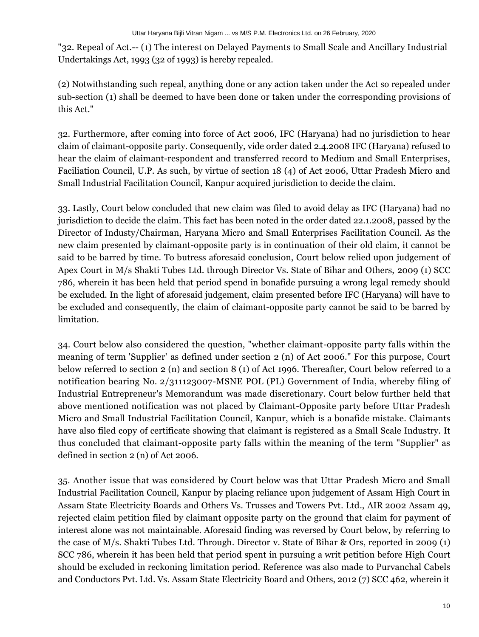"32. Repeal of Act.-- (1) The interest on Delayed Payments to Small Scale and Ancillary Industrial Undertakings Act, 1993 (32 of 1993) is hereby repealed.

(2) Notwithstanding such repeal, anything done or any action taken under the Act so repealed under sub-section (1) shall be deemed to have been done or taken under the corresponding provisions of this Act."

32. Furthermore, after coming into force of Act 2006, IFC (Haryana) had no jurisdiction to hear claim of claimant-opposite party. Consequently, vide order dated 2.4.2008 IFC (Haryana) refused to hear the claim of claimant-respondent and transferred record to Medium and Small Enterprises, Faciliation Council, U.P. As such, by virtue of section 18 (4) of Act 2006, Uttar Pradesh Micro and Small Industrial Facilitation Council, Kanpur acquired jurisdiction to decide the claim.

33. Lastly, Court below concluded that new claim was filed to avoid delay as IFC (Haryana) had no jurisdiction to decide the claim. This fact has been noted in the order dated 22.1.2008, passed by the Director of Industy/Chairman, Haryana Micro and Small Enterprises Facilitation Council. As the new claim presented by claimant-opposite party is in continuation of their old claim, it cannot be said to be barred by time. To butress aforesaid conclusion, Court below relied upon judgement of Apex Court in M/s Shakti Tubes Ltd. through Director Vs. State of Bihar and Others, 2009 (1) SCC 786, wherein it has been held that period spend in bonafide pursuing a wrong legal remedy should be excluded. In the light of aforesaid judgement, claim presented before IFC (Haryana) will have to be excluded and consequently, the claim of claimant-opposite party cannot be said to be barred by limitation.

34. Court below also considered the question, "whether claimant-opposite party falls within the meaning of term 'Supplier' as defined under section 2 (n) of Act 2006." For this purpose, Court below referred to section 2 (n) and section 8 (1) of Act 1996. Thereafter, Court below referred to a notification bearing No. 2/311123007-MSNE POL (PL) Government of India, whereby filing of Industrial Entrepreneur's Memorandum was made discretionary. Court below further held that above mentioned notification was not placed by Claimant-Opposite party before Uttar Pradesh Micro and Small Industrial Facilitation Council, Kanpur, which is a bonafide mistake. Claimants have also filed copy of certificate showing that claimant is registered as a Small Scale Industry. It thus concluded that claimant-opposite party falls within the meaning of the term "Supplier" as defined in section 2 (n) of Act 2006.

35. Another issue that was considered by Court below was that Uttar Pradesh Micro and Small Industrial Facilitation Council, Kanpur by placing reliance upon judgement of Assam High Court in Assam State Electricity Boards and Others Vs. Trusses and Towers Pvt. Ltd., AIR 2002 Assam 49, rejected claim petition filed by claimant opposite party on the ground that claim for payment of interest alone was not maintainable. Aforesaid finding was reversed by Court below, by referring to the case of M/s. Shakti Tubes Ltd. Through. Director v. State of Bihar & Ors, reported in 2009 (1) SCC 786, wherein it has been held that period spent in pursuing a writ petition before High Court should be excluded in reckoning limitation period. Reference was also made to Purvanchal Cabels and Conductors Pvt. Ltd. Vs. Assam State Electricity Board and Others, 2012 (7) SCC 462, wherein it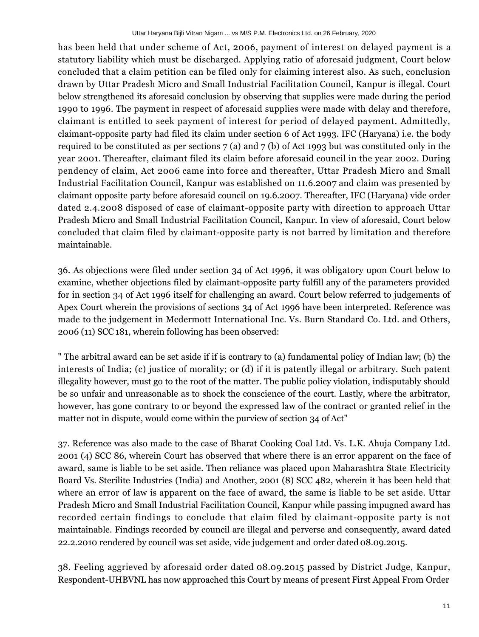has been held that under scheme of Act, 2006, payment of interest on delayed payment is a statutory liability which must be discharged. Applying ratio of aforesaid judgment, Court below concluded that a claim petition can be filed only for claiming interest also. As such, conclusion drawn by Uttar Pradesh Micro and Small Industrial Facilitation Council, Kanpur is illegal. Court below strengthened its aforesaid conclusion by observing that supplies were made during the period 1990 to 1996. The payment in respect of aforesaid supplies were made with delay and therefore, claimant is entitled to seek payment of interest for period of delayed payment. Admittedly, claimant-opposite party had filed its claim under section 6 of Act 1993. IFC (Haryana) i.e. the body required to be constituted as per sections 7 (a) and 7 (b) of Act 1993 but was constituted only in the year 2001. Thereafter, claimant filed its claim before aforesaid council in the year 2002. During pendency of claim, Act 2006 came into force and thereafter, Uttar Pradesh Micro and Small Industrial Facilitation Council, Kanpur was established on 11.6.2007 and claim was presented by claimant opposite party before aforesaid council on 19.6.2007. Thereafter, IFC (Haryana) vide order dated 2.4.2008 disposed of case of claimant-opposite party with direction to approach Uttar Pradesh Micro and Small Industrial Facilitation Council, Kanpur. In view of aforesaid, Court below concluded that claim filed by claimant-opposite party is not barred by limitation and therefore maintainable.

36. As objections were filed under section 34 of Act 1996, it was obligatory upon Court below to examine, whether objections filed by claimant-opposite party fulfill any of the parameters provided for in section 34 of Act 1996 itself for challenging an award. Court below referred to judgements of Apex Court wherein the provisions of sections 34 of Act 1996 have been interpreted. Reference was made to the judgement in Mcdermott International Inc. Vs. Burn Standard Co. Ltd. and Others, 2006 (11) SCC 181, wherein following has been observed:

" The arbitral award can be set aside if if is contrary to (a) fundamental policy of Indian law; (b) the interests of India; (c) justice of morality; or (d) if it is patently illegal or arbitrary. Such patent illegality however, must go to the root of the matter. The public policy violation, indisputably should be so unfair and unreasonable as to shock the conscience of the court. Lastly, where the arbitrator, however, has gone contrary to or beyond the expressed law of the contract or granted relief in the matter not in dispute, would come within the purview of section 34 of Act"

37. Reference was also made to the case of Bharat Cooking Coal Ltd. Vs. L.K. Ahuja Company Ltd. 2001 (4) SCC 86, wherein Court has observed that where there is an error apparent on the face of award, same is liable to be set aside. Then reliance was placed upon Maharashtra State Electricity Board Vs. Sterilite Industries (India) and Another, 2001 (8) SCC 482, wherein it has been held that where an error of law is apparent on the face of award, the same is liable to be set aside. Uttar Pradesh Micro and Small Industrial Facilitation Council, Kanpur while passing impugned award has recorded certain findings to conclude that claim filed by claimant-opposite party is not maintainable. Findings recorded by council are illegal and perverse and consequently, award dated 22.2.2010 rendered by council was set aside, vide judgement and order dated 08.09.2015.

38. Feeling aggrieved by aforesaid order dated 08.09.2015 passed by District Judge, Kanpur, Respondent-UHBVNL has now approached this Court by means of present First Appeal From Order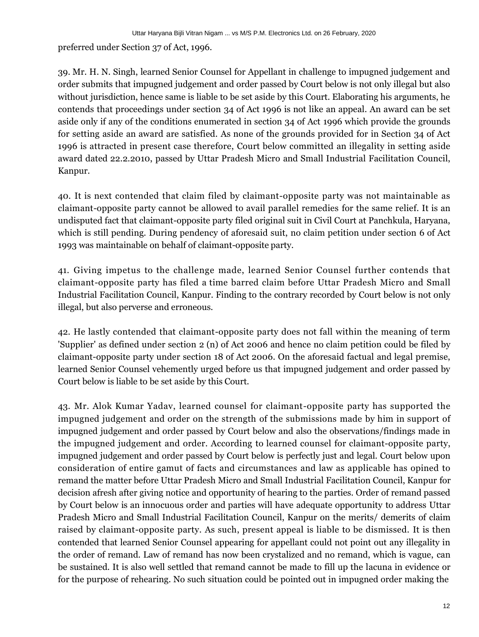preferred under Section 37 of Act, 1996.

39. Mr. H. N. Singh, learned Senior Counsel for Appellant in challenge to impugned judgement and order submits that impugned judgement and order passed by Court below is not only illegal but also without jurisdiction, hence same is liable to be set aside by this Court. Elaborating his arguments, he contends that proceedings under section 34 of Act 1996 is not like an appeal. An award can be set aside only if any of the conditions enumerated in section 34 of Act 1996 which provide the grounds for setting aside an award are satisfied. As none of the grounds provided for in Section 34 of Act 1996 is attracted in present case therefore, Court below committed an illegality in setting aside award dated 22.2.2010, passed by Uttar Pradesh Micro and Small Industrial Facilitation Council, Kanpur.

40. It is next contended that claim filed by claimant-opposite party was not maintainable as claimant-opposite party cannot be allowed to avail parallel remedies for the same relief. It is an undisputed fact that claimant-opposite party filed original suit in Civil Court at Panchkula, Haryana, which is still pending. During pendency of aforesaid suit, no claim petition under section 6 of Act 1993 was maintainable on behalf of claimant-opposite party.

41. Giving impetus to the challenge made, learned Senior Counsel further contends that claimant-opposite party has filed a time barred claim before Uttar Pradesh Micro and Small Industrial Facilitation Council, Kanpur. Finding to the contrary recorded by Court below is not only illegal, but also perverse and erroneous.

42. He lastly contended that claimant-opposite party does not fall within the meaning of term 'Supplier' as defined under section 2 (n) of Act 2006 and hence no claim petition could be filed by claimant-opposite party under section 18 of Act 2006. On the aforesaid factual and legal premise, learned Senior Counsel vehemently urged before us that impugned judgement and order passed by Court below is liable to be set aside by this Court.

43. Mr. Alok Kumar Yadav, learned counsel for claimant-opposite party has supported the impugned judgement and order on the strength of the submissions made by him in support of impugned judgement and order passed by Court below and also the observations/findings made in the impugned judgement and order. According to learned counsel for claimant-opposite party, impugned judgement and order passed by Court below is perfectly just and legal. Court below upon consideration of entire gamut of facts and circumstances and law as applicable has opined to remand the matter before Uttar Pradesh Micro and Small Industrial Facilitation Council, Kanpur for decision afresh after giving notice and opportunity of hearing to the parties. Order of remand passed by Court below is an innocuous order and parties will have adequate opportunity to address Uttar Pradesh Micro and Small Industrial Facilitation Council, Kanpur on the merits/ demerits of claim raised by claimant-opposite party. As such, present appeal is liable to be dismissed. It is then contended that learned Senior Counsel appearing for appellant could not point out any illegality in the order of remand. Law of remand has now been crystalized and no remand, which is vague, can be sustained. It is also well settled that remand cannot be made to fill up the lacuna in evidence or for the purpose of rehearing. No such situation could be pointed out in impugned order making the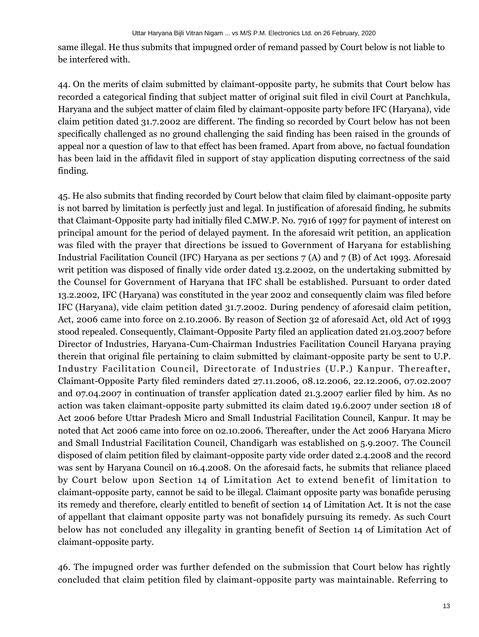same illegal. He thus submits that impugned order of remand passed by Court below is not liable to be interfered with.

44. On the merits of claim submitted by claimant-opposite party, he submits that Court below has recorded a categorical finding that subject matter of original suit filed in civil Court at Panchkula, Haryana and the subject matter of claim filed by claimant-opposite party before IFC (Haryana), vide claim petition dated 31.7.2002 are different. The finding so recorded by Court below has not been specifically challenged as no ground challenging the said finding has been raised in the grounds of appeal nor a question of law to that effect has been framed. Apart from above, no factual foundation has been laid in the affidavit filed in support of stay application disputing correctness of the said finding.

45. He also submits that finding recorded by Court below that claim filed by claimant-opposite party is not barred by limitation is perfectly just and legal. In justification of aforesaid finding, he submits that Claimant-Opposite party had initially filed C.MW.P. No. 7916 of 1997 for payment of interest on principal amount for the period of delayed payment. In the aforesaid writ petition, an application was filed with the prayer that directions be issued to Government of Haryana for establishing Industrial Facilitation Council (IFC) Haryana as per sections 7 (A) and 7 (B) of Act 1993. Aforesaid writ petition was disposed of finally vide order dated 13.2.2002, on the undertaking submitted by the Counsel for Government of Haryana that IFC shall be established. Pursuant to order dated 13.2.2002, IFC (Haryana) was constituted in the year 2002 and consequently claim was filed before IFC (Haryana), vide claim petition dated 31.7.2002. During pendency of aforesaid claim petition, Act, 2006 came into force on 2.10.2006. By reason of Section 32 of aforesaid Act, old Act of 1993 stood repealed. Consequently, Claimant-Opposite Party filed an application dated 21.03.2007 before Director of Industries, Haryana-Cum-Chairman Industries Facilitation Council Haryana praying therein that original file pertaining to claim submitted by claimant-opposite party be sent to U.P. Industry Facilitation Council, Directorate of Industries (U.P.) Kanpur. Thereafter, Claimant-Opposite Party filed reminders dated 27.11.2006, 08.12.2006, 22.12.2006, 07.02.2007 and 07.04.2007 in continuation of transfer application dated 21.3.2007 earlier filed by him. As no action was taken claimant-opposite party submitted its claim dated 19.6.2007 under section 18 of Act 2006 before Uttar Pradesh Micro and Small Industrial Facilitation Council, Kanpur. It may be noted that Act 2006 came into force on 02.10.2006. Thereafter, under the Act 2006 Haryana Micro and Small Industrial Facilitation Council, Chandigarh was established on 5.9.2007. The Council disposed of claim petition filed by claimant-opposite party vide order dated 2.4.2008 and the record was sent by Haryana Council on 16.4.2008. On the aforesaid facts, he submits that reliance placed by Court below upon Section 14 of Limitation Act to extend benefit of limitation to claimant-opposite party, cannot be said to be illegal. Claimant opposite party was bonafide perusing its remedy and therefore, clearly entitled to benefit of section 14 of Limitation Act. It is not the case of appellant that claimant opposite party was not bonafidely pursuing its remedy. As such Court below has not concluded any illegality in granting benefit of Section 14 of Limitation Act of claimant-opposite party.

46. The impugned order was further defended on the submission that Court below has rightly concluded that claim petition filed by claimant-opposite party was maintainable. Referring to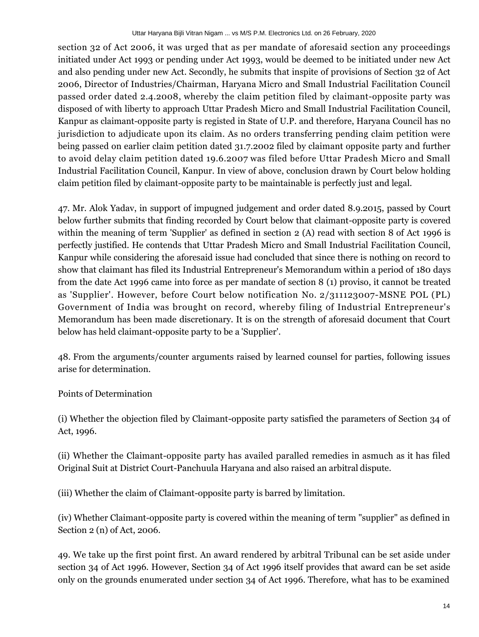section 32 of Act 2006, it was urged that as per mandate of aforesaid section any proceedings initiated under Act 1993 or pending under Act 1993, would be deemed to be initiated under new Act and also pending under new Act. Secondly, he submits that inspite of provisions of Section 32 of Act 2006, Director of Industries/Chairman, Haryana Micro and Small Industrial Facilitation Council passed order dated 2.4.2008, whereby the claim petition filed by claimant-opposite party was disposed of with liberty to approach Uttar Pradesh Micro and Small Industrial Facilitation Council, Kanpur as claimant-opposite party is registed in State of U.P. and therefore, Haryana Council has no jurisdiction to adjudicate upon its claim. As no orders transferring pending claim petition were being passed on earlier claim petition dated 31.7.2002 filed by claimant opposite party and further to avoid delay claim petition dated 19.6.2007 was filed before Uttar Pradesh Micro and Small Industrial Facilitation Council, Kanpur. In view of above, conclusion drawn by Court below holding claim petition filed by claimant-opposite party to be maintainable is perfectly just and legal.

47. Mr. Alok Yadav, in support of impugned judgement and order dated 8.9.2015, passed by Court below further submits that finding recorded by Court below that claimant-opposite party is covered within the meaning of term 'Supplier' as defined in section 2 (A) read with section 8 of Act 1996 is perfectly justified. He contends that Uttar Pradesh Micro and Small Industrial Facilitation Council, Kanpur while considering the aforesaid issue had concluded that since there is nothing on record to show that claimant has filed its Industrial Entrepreneur's Memorandum within a period of 180 days from the date Act 1996 came into force as per mandate of section 8 (1) proviso, it cannot be treated as 'Supplier'. However, before Court below notification No. 2/311123007-MSNE POL (PL) Government of India was brought on record, whereby filing of Industrial Entrepreneur's Memorandum has been made discretionary. It is on the strength of aforesaid document that Court below has held claimant-opposite party to be a 'Supplier'.

48. From the arguments/counter arguments raised by learned counsel for parties, following issues arise for determination.

Points of Determination

(i) Whether the objection filed by Claimant-opposite party satisfied the parameters of Section 34 of Act, 1996.

(ii) Whether the Claimant-opposite party has availed paralled remedies in asmuch as it has filed Original Suit at District Court-Panchuula Haryana and also raised an arbitral dispute.

(iii) Whether the claim of Claimant-opposite party is barred by limitation.

(iv) Whether Claimant-opposite party is covered within the meaning of term "supplier" as defined in Section 2 (n) of Act, 2006.

49. We take up the first point first. An award rendered by arbitral Tribunal can be set aside under section 34 of Act 1996. However, Section 34 of Act 1996 itself provides that award can be set aside only on the grounds enumerated under section 34 of Act 1996. Therefore, what has to be examined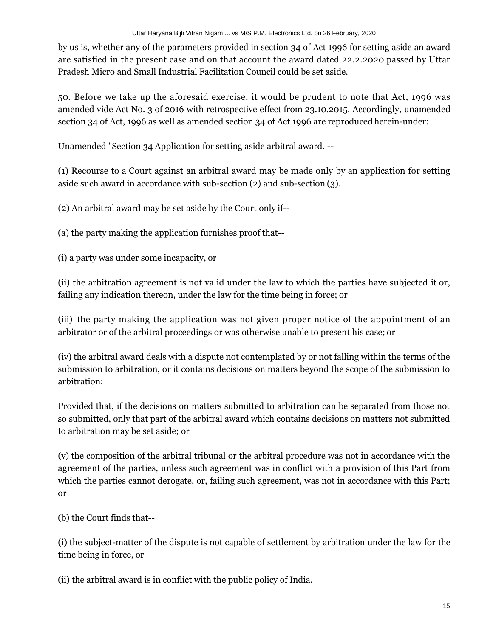by us is, whether any of the parameters provided in section 34 of Act 1996 for setting aside an award are satisfied in the present case and on that account the award dated 22.2.2020 passed by Uttar Pradesh Micro and Small Industrial Facilitation Council could be set aside.

50. Before we take up the aforesaid exercise, it would be prudent to note that Act, 1996 was amended vide Act No. 3 of 2016 with retrospective effect from 23.10.2015. Accordingly, unamended section 34 of Act, 1996 as well as amended section 34 of Act 1996 are reproduced herein-under:

Unamended "Section 34 Application for setting aside arbitral award. --

(1) Recourse to a Court against an arbitral award may be made only by an application for setting aside such award in accordance with sub-section (2) and sub-section (3).

(2) An arbitral award may be set aside by the Court only if--

(a) the party making the application furnishes proof that--

(i) a party was under some incapacity, or

(ii) the arbitration agreement is not valid under the law to which the parties have subjected it or, failing any indication thereon, under the law for the time being in force; or

(iii) the party making the application was not given proper notice of the appointment of an arbitrator or of the arbitral proceedings or was otherwise unable to present his case; or

(iv) the arbitral award deals with a dispute not contemplated by or not falling within the terms of the submission to arbitration, or it contains decisions on matters beyond the scope of the submission to arbitration:

Provided that, if the decisions on matters submitted to arbitration can be separated from those not so submitted, only that part of the arbitral award which contains decisions on matters not submitted to arbitration may be set aside; or

(v) the composition of the arbitral tribunal or the arbitral procedure was not in accordance with the agreement of the parties, unless such agreement was in conflict with a provision of this Part from which the parties cannot derogate, or, failing such agreement, was not in accordance with this Part; or

(b) the Court finds that--

(i) the subject-matter of the dispute is not capable of settlement by arbitration under the law for the time being in force, or

(ii) the arbitral award is in conflict with the public policy of India.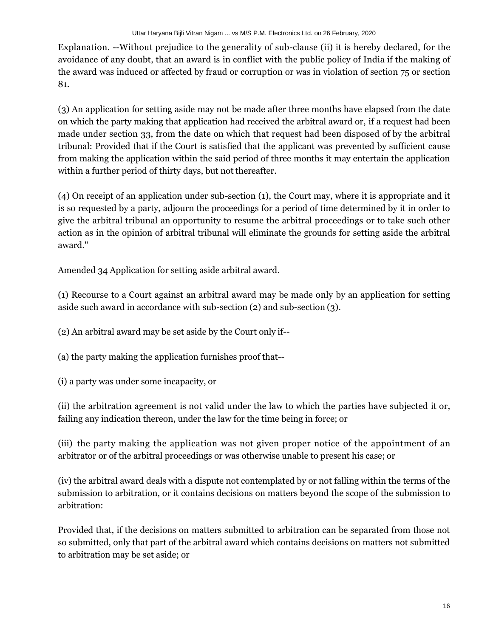Explanation. --Without prejudice to the generality of sub-clause (ii) it is hereby declared, for the avoidance of any doubt, that an award is in conflict with the public policy of India if the making of the award was induced or affected by fraud or corruption or was in violation of section 75 or section 81.

(3) An application for setting aside may not be made after three months have elapsed from the date on which the party making that application had received the arbitral award or, if a request had been made under section 33, from the date on which that request had been disposed of by the arbitral tribunal: Provided that if the Court is satisfied that the applicant was prevented by sufficient cause from making the application within the said period of three months it may entertain the application within a further period of thirty days, but not thereafter.

(4) On receipt of an application under sub-section (1), the Court may, where it is appropriate and it is so requested by a party, adjourn the proceedings for a period of time determined by it in order to give the arbitral tribunal an opportunity to resume the arbitral proceedings or to take such other action as in the opinion of arbitral tribunal will eliminate the grounds for setting aside the arbitral award."

Amended 34 Application for setting aside arbitral award.

(1) Recourse to a Court against an arbitral award may be made only by an application for setting aside such award in accordance with sub-section (2) and sub-section (3).

(2) An arbitral award may be set aside by the Court only if--

(a) the party making the application furnishes proof that--

(i) a party was under some incapacity, or

(ii) the arbitration agreement is not valid under the law to which the parties have subjected it or, failing any indication thereon, under the law for the time being in force; or

(iii) the party making the application was not given proper notice of the appointment of an arbitrator or of the arbitral proceedings or was otherwise unable to present his case; or

(iv) the arbitral award deals with a dispute not contemplated by or not falling within the terms of the submission to arbitration, or it contains decisions on matters beyond the scope of the submission to arbitration:

Provided that, if the decisions on matters submitted to arbitration can be separated from those not so submitted, only that part of the arbitral award which contains decisions on matters not submitted to arbitration may be set aside; or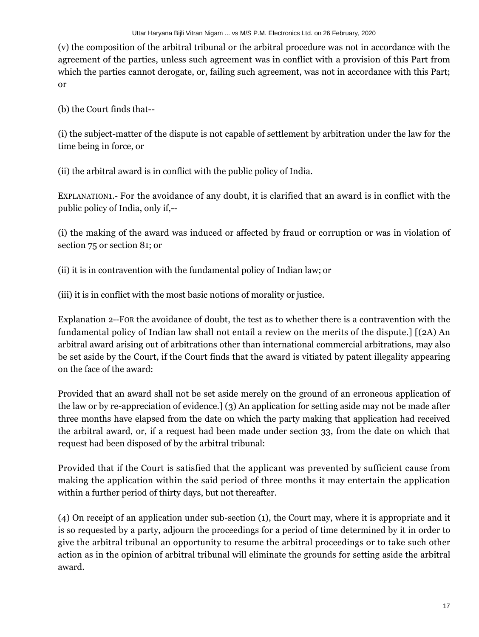(v) the composition of the arbitral tribunal or the arbitral procedure was not in accordance with the agreement of the parties, unless such agreement was in conflict with a provision of this Part from which the parties cannot derogate, or, failing such agreement, was not in accordance with this Part; or

(b) the Court finds that--

(i) the subject-matter of the dispute is not capable of settlement by arbitration under the law for the time being in force, or

(ii) the arbitral award is in conflict with the public policy of India.

EXPLANATION1.- For the avoidance of any doubt, it is clarified that an award is in conflict with the public policy of India, only if,--

(i) the making of the award was induced or affected by fraud or corruption or was in violation of section 75 or section 81; or

(ii) it is in contravention with the fundamental policy of Indian law; or

(iii) it is in conflict with the most basic notions of morality or justice.

Explanation 2--FOR the avoidance of doubt, the test as to whether there is a contravention with the fundamental policy of Indian law shall not entail a review on the merits of the dispute.] [(2A) An arbitral award arising out of arbitrations other than international commercial arbitrations, may also be set aside by the Court, if the Court finds that the award is vitiated by patent illegality appearing on the face of the award:

Provided that an award shall not be set aside merely on the ground of an erroneous application of the law or by re-appreciation of evidence.] (3) An application for setting aside may not be made after three months have elapsed from the date on which the party making that application had received the arbitral award, or, if a request had been made under section 33, from the date on which that request had been disposed of by the arbitral tribunal:

Provided that if the Court is satisfied that the applicant was prevented by sufficient cause from making the application within the said period of three months it may entertain the application within a further period of thirty days, but not thereafter.

(4) On receipt of an application under sub-section (1), the Court may, where it is appropriate and it is so requested by a party, adjourn the proceedings for a period of time determined by it in order to give the arbitral tribunal an opportunity to resume the arbitral proceedings or to take such other action as in the opinion of arbitral tribunal will eliminate the grounds for setting aside the arbitral award.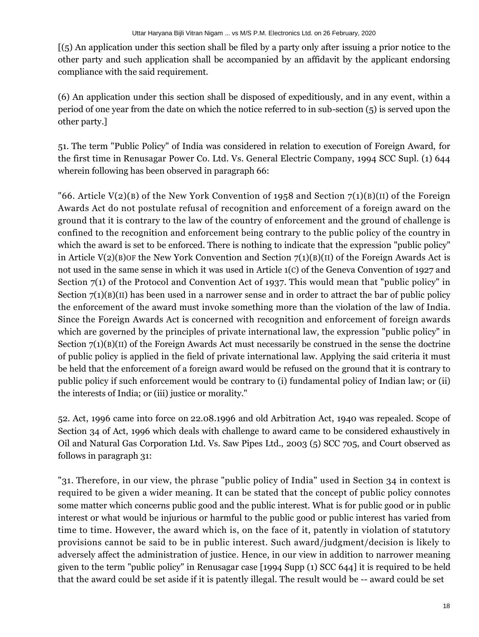[(5) An application under this section shall be filed by a party only after issuing a prior notice to the other party and such application shall be accompanied by an affidavit by the applicant endorsing compliance with the said requirement.

(6) An application under this section shall be disposed of expeditiously, and in any event, within a period of one year from the date on which the notice referred to in sub-section (5) is served upon the other party.]

51. The term "Public Policy" of India was considered in relation to execution of Foreign Award, for the first time in Renusagar Power Co. Ltd. Vs. General Electric Company, 1994 SCC Supl. (1) 644 wherein following has been observed in paragraph 66:

"66. Article  $V(2)(B)$  of the New York Convention of 1958 and Section 7(1)(B)(II) of the Foreign Awards Act do not postulate refusal of recognition and enforcement of a foreign award on the ground that it is contrary to the law of the country of enforcement and the ground of challenge is confined to the recognition and enforcement being contrary to the public policy of the country in which the award is set to be enforced. There is nothing to indicate that the expression "public policy" in Article  $V(2)(B)$  of the New York Convention and Section  $7(1)(B)(II)$  of the Foreign Awards Act is not used in the same sense in which it was used in Article 1(C) of the Geneva Convention of 1927 and Section 7(1) of the Protocol and Convention Act of 1937. This would mean that "public policy" in Section  $7(1)(B)(II)$  has been used in a narrower sense and in order to attract the bar of public policy the enforcement of the award must invoke something more than the violation of the law of India. Since the Foreign Awards Act is concerned with recognition and enforcement of foreign awards which are governed by the principles of private international law, the expression "public policy" in Section  $7(1)(B)(II)$  of the Foreign Awards Act must necessarily be construed in the sense the doctrine of public policy is applied in the field of private international law. Applying the said criteria it must be held that the enforcement of a foreign award would be refused on the ground that it is contrary to public policy if such enforcement would be contrary to (i) fundamental policy of Indian law; or (ii) the interests of India; or (iii) justice or morality."

52. Act, 1996 came into force on 22.08.1996 and old Arbitration Act, 1940 was repealed. Scope of Section 34 of Act, 1996 which deals with challenge to award came to be considered exhaustively in Oil and Natural Gas Corporation Ltd. Vs. Saw Pipes Ltd., 2003 (5) SCC 705, and Court observed as follows in paragraph 31:

"31. Therefore, in our view, the phrase "public policy of India" used in Section 34 in context is required to be given a wider meaning. It can be stated that the concept of public policy connotes some matter which concerns public good and the public interest. What is for public good or in public interest or what would be injurious or harmful to the public good or public interest has varied from time to time. However, the award which is, on the face of it, patently in violation of statutory provisions cannot be said to be in public interest. Such award/judgment/decision is likely to adversely affect the administration of justice. Hence, in our view in addition to narrower meaning given to the term "public policy" in Renusagar case [1994 Supp (1) SCC 644] it is required to be held that the award could be set aside if it is patently illegal. The result would be -- award could be set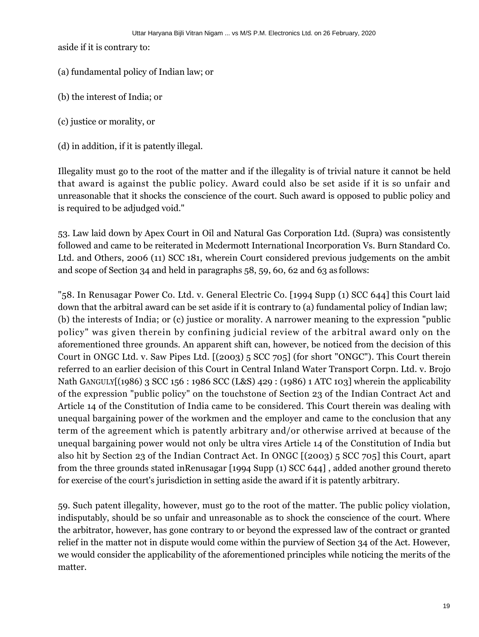aside if it is contrary to:

- (a) fundamental policy of Indian law; or
- (b) the interest of India; or
- (c) justice or morality, or
- (d) in addition, if it is patently illegal.

Illegality must go to the root of the matter and if the illegality is of trivial nature it cannot be held that award is against the public policy. Award could also be set aside if it is so unfair and unreasonable that it shocks the conscience of the court. Such award is opposed to public policy and is required to be adjudged void."

53. Law laid down by Apex Court in Oil and Natural Gas Corporation Ltd. (Supra) was consistently followed and came to be reiterated in Mcdermott International Incorporation Vs. Burn Standard Co. Ltd. and Others, 2006 (11) SCC 181, wherein Court considered previous judgements on the ambit and scope of Section 34 and held in paragraphs 58, 59, 60, 62 and 63 as follows:

"58. In Renusagar Power Co. Ltd. v. General Electric Co. [1994 Supp (1) SCC 644] this Court laid down that the arbitral award can be set aside if it is contrary to (a) fundamental policy of Indian law; (b) the interests of India; or (c) justice or morality. A narrower meaning to the expression "public policy" was given therein by confining judicial review of the arbitral award only on the aforementioned three grounds. An apparent shift can, however, be noticed from the decision of this Court in ONGC Ltd. v. Saw Pipes Ltd. [(2003) 5 SCC 705] (for short "ONGC"). This Court therein referred to an earlier decision of this Court in Central Inland Water Transport Corpn. Ltd. v. Brojo Nath GANGULY[(1986) 3 SCC 156 : 1986 SCC (L&S) 429 : (1986) 1 ATC 103] wherein the applicability of the expression "public policy" on the touchstone of Section 23 of the Indian Contract Act and Article 14 of the Constitution of India came to be considered. This Court therein was dealing with unequal bargaining power of the workmen and the employer and came to the conclusion that any term of the agreement which is patently arbitrary and/or otherwise arrived at because of the unequal bargaining power would not only be ultra vires Article 14 of the Constitution of India but also hit by Section 23 of the Indian Contract Act. In ONGC [(2003) 5 SCC 705] this Court, apart from the three grounds stated inRenusagar [1994 Supp (1) SCC 644] , added another ground thereto for exercise of the court's jurisdiction in setting aside the award if it is patently arbitrary.

59. Such patent illegality, however, must go to the root of the matter. The public policy violation, indisputably, should be so unfair and unreasonable as to shock the conscience of the court. Where the arbitrator, however, has gone contrary to or beyond the expressed law of the contract or granted relief in the matter not in dispute would come within the purview of Section 34 of the Act. However, we would consider the applicability of the aforementioned principles while noticing the merits of the matter.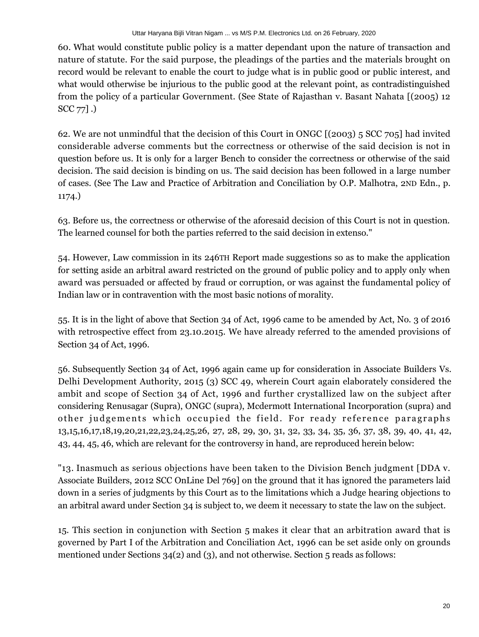60. What would constitute public policy is a matter dependant upon the nature of transaction and nature of statute. For the said purpose, the pleadings of the parties and the materials brought on record would be relevant to enable the court to judge what is in public good or public interest, and what would otherwise be injurious to the public good at the relevant point, as contradistinguished from the policy of a particular Government. (See State of Rajasthan v. Basant Nahata [(2005) 12 SCC 77] .)

62. We are not unmindful that the decision of this Court in ONGC [(2003) 5 SCC 705] had invited considerable adverse comments but the correctness or otherwise of the said decision is not in question before us. It is only for a larger Bench to consider the correctness or otherwise of the said decision. The said decision is binding on us. The said decision has been followed in a large number of cases. (See The Law and Practice of Arbitration and Conciliation by O.P. Malhotra, 2ND Edn., p. 1174.)

63. Before us, the correctness or otherwise of the aforesaid decision of this Court is not in question. The learned counsel for both the parties referred to the said decision in extenso."

54. However, Law commission in its 246TH Report made suggestions so as to make the application for setting aside an arbitral award restricted on the ground of public policy and to apply only when award was persuaded or affected by fraud or corruption, or was against the fundamental policy of Indian law or in contravention with the most basic notions of morality.

55. It is in the light of above that Section 34 of Act, 1996 came to be amended by Act, No. 3 of 2016 with retrospective effect from 23.10.2015. We have already referred to the amended provisions of Section 34 of Act, 1996.

56. Subsequently Section 34 of Act, 1996 again came up for consideration in Associate Builders Vs. Delhi Development Authority, 2015 (3) SCC 49, wherein Court again elaborately considered the ambit and scope of Section 34 of Act, 1996 and further crystallized law on the subject after considering Renusagar (Supra), ONGC (supra), Mcdermott International Incorporation (supra) and other judgements which occupied the field. For ready reference paragraphs 13,15,16,17,18,19,20,21,22,23,24,25,26, 27, 28, 29, 30, 31, 32, 33, 34, 35, 36, 37, 38, 39, 40, 41, 42, 43, 44, 45, 46, which are relevant for the controversy in hand, are reproduced herein below:

"13. Inasmuch as serious objections have been taken to the Division Bench judgment [DDA v. Associate Builders, 2012 SCC OnLine Del 769] on the ground that it has ignored the parameters laid down in a series of judgments by this Court as to the limitations which a Judge hearing objections to an arbitral award under Section 34 is subject to, we deem it necessary to state the law on the subject.

15. This section in conjunction with Section 5 makes it clear that an arbitration award that is governed by Part I of the Arbitration and Conciliation Act, 1996 can be set aside only on grounds mentioned under Sections 34(2) and (3), and not otherwise. Section 5 reads as follows: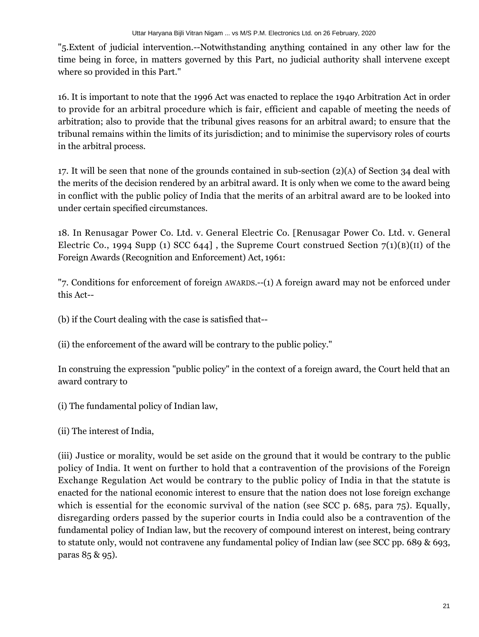"5.Extent of judicial intervention.--Notwithstanding anything contained in any other law for the time being in force, in matters governed by this Part, no judicial authority shall intervene except where so provided in this Part."

16. It is important to note that the 1996 Act was enacted to replace the 1940 Arbitration Act in order to provide for an arbitral procedure which is fair, efficient and capable of meeting the needs of arbitration; also to provide that the tribunal gives reasons for an arbitral award; to ensure that the tribunal remains within the limits of its jurisdiction; and to minimise the supervisory roles of courts in the arbitral process.

17. It will be seen that none of the grounds contained in sub-section (2)(A) of Section 34 deal with the merits of the decision rendered by an arbitral award. It is only when we come to the award being in conflict with the public policy of India that the merits of an arbitral award are to be looked into under certain specified circumstances.

18. In Renusagar Power Co. Ltd. v. General Electric Co. [Renusagar Power Co. Ltd. v. General Electric Co., 1994 Supp (1) SCC 644], the Supreme Court construed Section  $7(1)(B)(II)$  of the Foreign Awards (Recognition and Enforcement) Act, 1961:

"7. Conditions for enforcement of foreign AWARDS.--(1) A foreign award may not be enforced under this Act--

(b) if the Court dealing with the case is satisfied that--

(ii) the enforcement of the award will be contrary to the public policy."

In construing the expression "public policy" in the context of a foreign award, the Court held that an award contrary to

(i) The fundamental policy of Indian law,

(ii) The interest of India,

(iii) Justice or morality, would be set aside on the ground that it would be contrary to the public policy of India. It went on further to hold that a contravention of the provisions of the Foreign Exchange Regulation Act would be contrary to the public policy of India in that the statute is enacted for the national economic interest to ensure that the nation does not lose foreign exchange which is essential for the economic survival of the nation (see SCC p. 685, para 75). Equally, disregarding orders passed by the superior courts in India could also be a contravention of the fundamental policy of Indian law, but the recovery of compound interest on interest, being contrary to statute only, would not contravene any fundamental policy of Indian law (see SCC pp. 689 & 693, paras 85 & 95).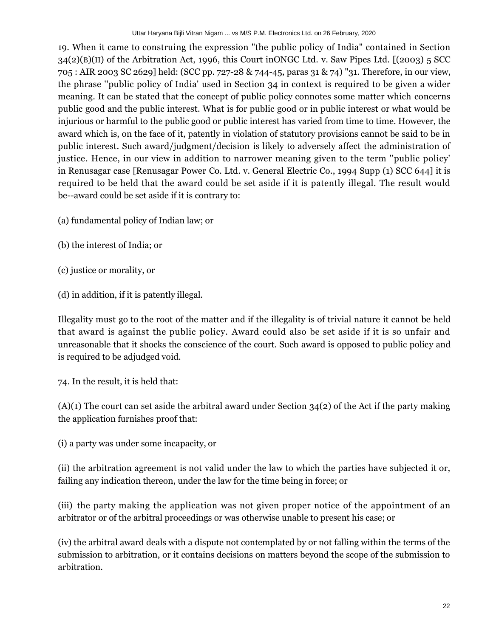19. When it came to construing the expression "the public policy of India" contained in Section  $34(2)(B)(II)$  of the Arbitration Act, 1996, this Court inONGC Ltd. v. Saw Pipes Ltd.  $(2003)$  5 SCC 705 : AIR 2003 SC 2629] held: (SCC pp. 727-28 & 744-45, paras 31 & 74) "31. Therefore, in our view, the phrase ''public policy of India' used in Section 34 in context is required to be given a wider meaning. It can be stated that the concept of public policy connotes some matter which concerns public good and the public interest. What is for public good or in public interest or what would be injurious or harmful to the public good or public interest has varied from time to time. However, the award which is, on the face of it, patently in violation of statutory provisions cannot be said to be in public interest. Such award/judgment/decision is likely to adversely affect the administration of justice. Hence, in our view in addition to narrower meaning given to the term ''public policy' in Renusagar case [Renusagar Power Co. Ltd. v. General Electric Co., 1994 Supp (1) SCC 644] it is required to be held that the award could be set aside if it is patently illegal. The result would be--award could be set aside if it is contrary to:

- (a) fundamental policy of Indian law; or
- (b) the interest of India; or
- (c) justice or morality, or
- (d) in addition, if it is patently illegal.

Illegality must go to the root of the matter and if the illegality is of trivial nature it cannot be held that award is against the public policy. Award could also be set aside if it is so unfair and unreasonable that it shocks the conscience of the court. Such award is opposed to public policy and is required to be adjudged void.

74. In the result, it is held that:

 $(A)(1)$  The court can set aside the arbitral award under Section 34(2) of the Act if the party making the application furnishes proof that:

(i) a party was under some incapacity, or

(ii) the arbitration agreement is not valid under the law to which the parties have subjected it or, failing any indication thereon, under the law for the time being in force; or

(iii) the party making the application was not given proper notice of the appointment of an arbitrator or of the arbitral proceedings or was otherwise unable to present his case; or

(iv) the arbitral award deals with a dispute not contemplated by or not falling within the terms of the submission to arbitration, or it contains decisions on matters beyond the scope of the submission to arbitration.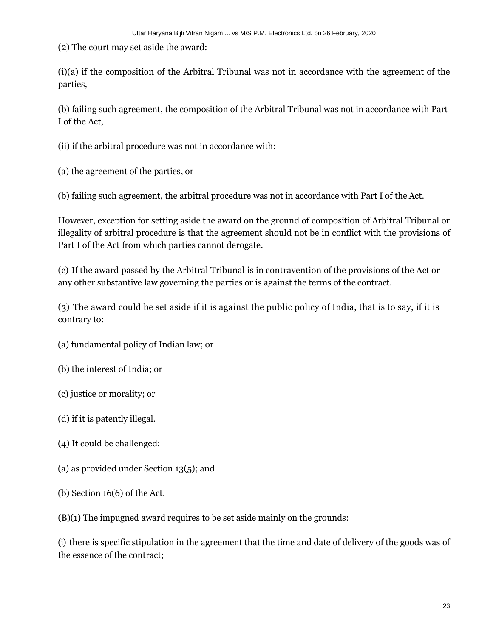(2) The court may set aside the award:

(i)(a) if the composition of the Arbitral Tribunal was not in accordance with the agreement of the parties,

(b) failing such agreement, the composition of the Arbitral Tribunal was not in accordance with Part I of the Act,

(ii) if the arbitral procedure was not in accordance with:

(a) the agreement of the parties, or

(b) failing such agreement, the arbitral procedure was not in accordance with Part I of the Act.

However, exception for setting aside the award on the ground of composition of Arbitral Tribunal or illegality of arbitral procedure is that the agreement should not be in conflict with the provisions of Part I of the Act from which parties cannot derogate.

(c) If the award passed by the Arbitral Tribunal is in contravention of the provisions of the Act or any other substantive law governing the parties or is against the terms of the contract.

(3) The award could be set aside if it is against the public policy of India, that is to say, if it is contrary to:

- (a) fundamental policy of Indian law; or
- (b) the interest of India; or
- (c) justice or morality; or
- (d) if it is patently illegal.
- (4) It could be challenged:
- (a) as provided under Section 13(5); and
- (b) Section 16(6) of the Act.

(B)(1) The impugned award requires to be set aside mainly on the grounds:

(i) there is specific stipulation in the agreement that the time and date of delivery of the goods was of the essence of the contract;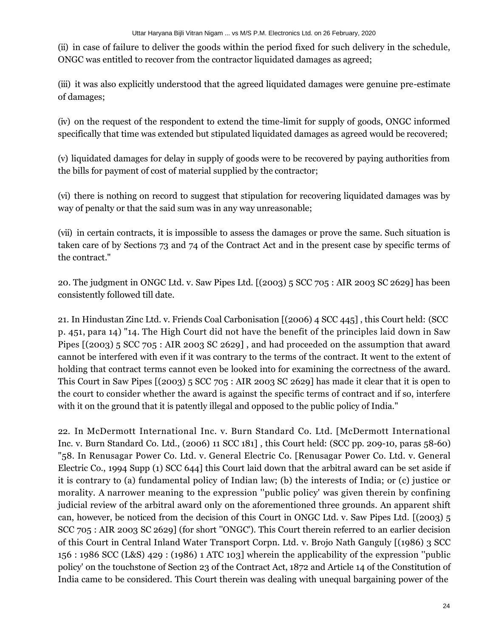(ii) in case of failure to deliver the goods within the period fixed for such delivery in the schedule, ONGC was entitled to recover from the contractor liquidated damages as agreed;

(iii) it was also explicitly understood that the agreed liquidated damages were genuine pre-estimate of damages;

(iv) on the request of the respondent to extend the time-limit for supply of goods, ONGC informed specifically that time was extended but stipulated liquidated damages as agreed would be recovered;

(v) liquidated damages for delay in supply of goods were to be recovered by paying authorities from the bills for payment of cost of material supplied by the contractor;

(vi) there is nothing on record to suggest that stipulation for recovering liquidated damages was by way of penalty or that the said sum was in any way unreasonable;

(vii) in certain contracts, it is impossible to assess the damages or prove the same. Such situation is taken care of by Sections 73 and 74 of the Contract Act and in the present case by specific terms of the contract."

20. The judgment in ONGC Ltd. v. Saw Pipes Ltd. [(2003) 5 SCC 705 : AIR 2003 SC 2629] has been consistently followed till date.

21. In Hindustan Zinc Ltd. v. Friends Coal Carbonisation [(2006) 4 SCC 445] , this Court held: (SCC p. 451, para 14) "14. The High Court did not have the benefit of the principles laid down in Saw Pipes [(2003) 5 SCC 705 : AIR 2003 SC 2629], and had proceeded on the assumption that award cannot be interfered with even if it was contrary to the terms of the contract. It went to the extent of holding that contract terms cannot even be looked into for examining the correctness of the award. This Court in Saw Pipes [(2003) 5 SCC 705 : AIR 2003 SC 2629] has made it clear that it is open to the court to consider whether the award is against the specific terms of contract and if so, interfere with it on the ground that it is patently illegal and opposed to the public policy of India."

22. In McDermott International Inc. v. Burn Standard Co. Ltd. [McDermott International Inc. v. Burn Standard Co. Ltd., (2006) 11 SCC 181] , this Court held: (SCC pp. 209-10, paras 58-60) "58. In Renusagar Power Co. Ltd. v. General Electric Co. [Renusagar Power Co. Ltd. v. General Electric Co., 1994 Supp (1) SCC 644] this Court laid down that the arbitral award can be set aside if it is contrary to (a) fundamental policy of Indian law; (b) the interests of India; or (c) justice or morality. A narrower meaning to the expression ''public policy' was given therein by confining judicial review of the arbitral award only on the aforementioned three grounds. An apparent shift can, however, be noticed from the decision of this Court in ONGC Ltd. v. Saw Pipes Ltd. [(2003) 5 SCC 705 : AIR 2003 SC 2629] (for short ''ONGC'). This Court therein referred to an earlier decision of this Court in Central Inland Water Transport Corpn. Ltd. v. Brojo Nath Ganguly [(1986) 3 SCC 156 : 1986 SCC (L&S) 429 : (1986) 1 ATC 103] wherein the applicability of the expression ''public policy' on the touchstone of Section 23 of the Contract Act, 1872 and Article 14 of the Constitution of India came to be considered. This Court therein was dealing with unequal bargaining power of the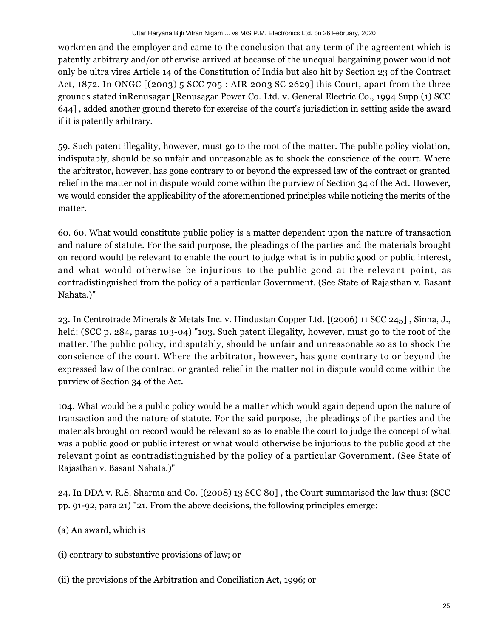workmen and the employer and came to the conclusion that any term of the agreement which is patently arbitrary and/or otherwise arrived at because of the unequal bargaining power would not only be ultra vires Article 14 of the Constitution of India but also hit by Section 23 of the Contract Act, 1872. In ONGC [(2003) 5 SCC 705 : AIR 2003 SC 2629] this Court, apart from the three grounds stated inRenusagar [Renusagar Power Co. Ltd. v. General Electric Co., 1994 Supp (1) SCC 644] , added another ground thereto for exercise of the court's jurisdiction in setting aside the award if it is patently arbitrary.

59. Such patent illegality, however, must go to the root of the matter. The public policy violation, indisputably, should be so unfair and unreasonable as to shock the conscience of the court. Where the arbitrator, however, has gone contrary to or beyond the expressed law of the contract or granted relief in the matter not in dispute would come within the purview of Section 34 of the Act. However, we would consider the applicability of the aforementioned principles while noticing the merits of the matter.

60. 60. What would constitute public policy is a matter dependent upon the nature of transaction and nature of statute. For the said purpose, the pleadings of the parties and the materials brought on record would be relevant to enable the court to judge what is in public good or public interest, and what would otherwise be injurious to the public good at the relevant point, as contradistinguished from the policy of a particular Government. (See State of Rajasthan v. Basant Nahata.)"

23. In Centrotrade Minerals & Metals Inc. v. Hindustan Copper Ltd. [(2006) 11 SCC 245] , Sinha, J., held: (SCC p. 284, paras 103-04) "103. Such patent illegality, however, must go to the root of the matter. The public policy, indisputably, should be unfair and unreasonable so as to shock the conscience of the court. Where the arbitrator, however, has gone contrary to or beyond the expressed law of the contract or granted relief in the matter not in dispute would come within the purview of Section 34 of the Act.

104. What would be a public policy would be a matter which would again depend upon the nature of transaction and the nature of statute. For the said purpose, the pleadings of the parties and the materials brought on record would be relevant so as to enable the court to judge the concept of what was a public good or public interest or what would otherwise be injurious to the public good at the relevant point as contradistinguished by the policy of a particular Government. (See State of Rajasthan v. Basant Nahata.)"

24. In DDA v. R.S. Sharma and Co. [(2008) 13 SCC 80] , the Court summarised the law thus: (SCC pp. 91-92, para 21) "21. From the above decisions, the following principles emerge:

(a) An award, which is

(i) contrary to substantive provisions of law; or

(ii) the provisions of the Arbitration and Conciliation Act, 1996; or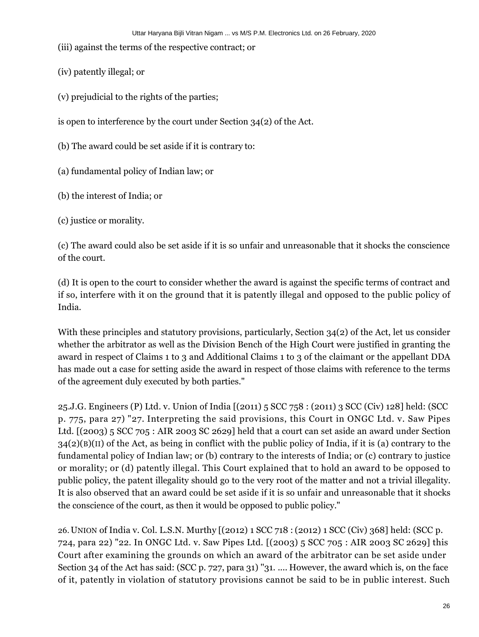(iii) against the terms of the respective contract; or

(iv) patently illegal; or

(v) prejudicial to the rights of the parties;

is open to interference by the court under Section 34(2) of the Act.

(b) The award could be set aside if it is contrary to:

(a) fundamental policy of Indian law; or

(b) the interest of India; or

(c) justice or morality.

(c) The award could also be set aside if it is so unfair and unreasonable that it shocks the conscience of the court.

(d) It is open to the court to consider whether the award is against the specific terms of contract and if so, interfere with it on the ground that it is patently illegal and opposed to the public policy of India.

With these principles and statutory provisions, particularly, Section 34(2) of the Act, let us consider whether the arbitrator as well as the Division Bench of the High Court were justified in granting the award in respect of Claims 1 to 3 and Additional Claims 1 to 3 of the claimant or the appellant DDA has made out a case for setting aside the award in respect of those claims with reference to the terms of the agreement duly executed by both parties."

25.J.G. Engineers (P) Ltd. v. Union of India [(2011) 5 SCC 758 : (2011) 3 SCC (Civ) 128] held: (SCC p. 775, para 27) "27. Interpreting the said provisions, this Court in ONGC Ltd. v. Saw Pipes Ltd. [(2003) 5 SCC 705 : AIR 2003 SC 2629] held that a court can set aside an award under Section  $34(2)(B)(II)$  of the Act, as being in conflict with the public policy of India, if it is (a) contrary to the fundamental policy of Indian law; or (b) contrary to the interests of India; or (c) contrary to justice or morality; or (d) patently illegal. This Court explained that to hold an award to be opposed to public policy, the patent illegality should go to the very root of the matter and not a trivial illegality. It is also observed that an award could be set aside if it is so unfair and unreasonable that it shocks the conscience of the court, as then it would be opposed to public policy."

26.UNION of India v. Col. L.S.N. Murthy [(2012) 1 SCC 718 :(2012) 1 SCC (Civ) 368] held: (SCC p. 724, para 22) "22. In ONGC Ltd. v. Saw Pipes Ltd. [(2003) 5 SCC 705 : AIR 2003 SC 2629] this Court after examining the grounds on which an award of the arbitrator can be set aside under Section 34 of the Act has said: (SCC p. 727, para 31) ''31. .... However, the award which is, on the face of it, patently in violation of statutory provisions cannot be said to be in public interest. Such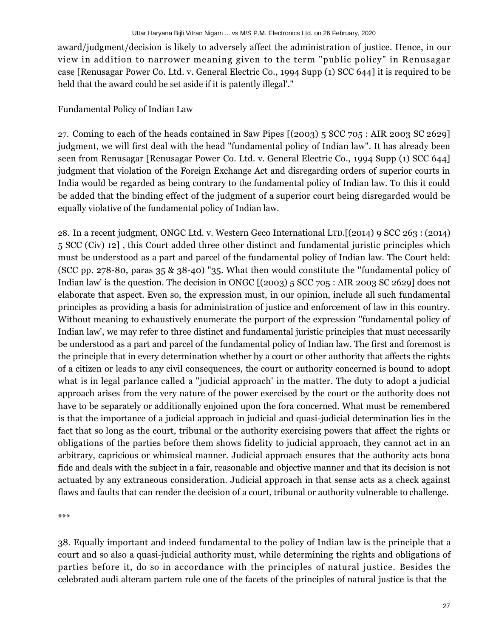award/judgment/decision is likely to adversely affect the administration of justice. Hence, in our view in addition to narrower meaning given to the term "public policy" in Renusagar case [Renusagar Power Co. Ltd. v. General Electric Co., 1994 Supp (1) SCC 644] it is required to be held that the award could be set aside if it is patently illegal'."

#### Fundamental Policy of Indian Law

27. Coming to each of the heads contained in Saw Pipes [(2003) 5 SCC 705 : AIR 2003 SC 2629] judgment, we will first deal with the head "fundamental policy of Indian law". It has already been seen from Renusagar [Renusagar Power Co. Ltd. v. General Electric Co., 1994 Supp (1) SCC 644] judgment that violation of the Foreign Exchange Act and disregarding orders of superior courts in India would be regarded as being contrary to the fundamental policy of Indian law. To this it could be added that the binding effect of the judgment of a superior court being disregarded would be equally violative of the fundamental policy of Indian law.

28. In a recent judgment, ONGC Ltd. v. Western Geco International LTD.[(2014) 9 SCC 263 : (2014) 5 SCC (Civ) 12] , this Court added three other distinct and fundamental juristic principles which must be understood as a part and parcel of the fundamental policy of Indian law. The Court held: (SCC pp. 278-80, paras 35 & 38-40) "35. What then would constitute the ''fundamental policy of Indian law' is the question. The decision in ONGC [(2003) 5 SCC 705 : AIR 2003 SC 2629] does not elaborate that aspect. Even so, the expression must, in our opinion, include all such fundamental principles as providing a basis for administration of justice and enforcement of law in this country. Without meaning to exhaustively enumerate the purport of the expression ''fundamental policy of Indian law', we may refer to three distinct and fundamental juristic principles that must necessarily be understood as a part and parcel of the fundamental policy of Indian law. The first and foremost is the principle that in every determination whether by a court or other authority that affects the rights of a citizen or leads to any civil consequences, the court or authority concerned is bound to adopt what is in legal parlance called a ''judicial approach' in the matter. The duty to adopt a judicial approach arises from the very nature of the power exercised by the court or the authority does not have to be separately or additionally enjoined upon the fora concerned. What must be remembered is that the importance of a judicial approach in judicial and quasi-judicial determination lies in the fact that so long as the court, tribunal or the authority exercising powers that affect the rights or obligations of the parties before them shows fidelity to judicial approach, they cannot act in an arbitrary, capricious or whimsical manner. Judicial approach ensures that the authority acts bona fide and deals with the subject in a fair, reasonable and objective manner and that its decision is not actuated by any extraneous consideration. Judicial approach in that sense acts as a check against flaws and faults that can render the decision of a court, tribunal or authority vulnerable to challenge.

\*\*\*

38. Equally important and indeed fundamental to the policy of Indian law is the principle that a court and so also a quasi-judicial authority must, while determining the rights and obligations of parties before it, do so in accordance with the principles of natural justice. Besides the celebrated audi alteram partem rule one of the facets of the principles of natural justice is that the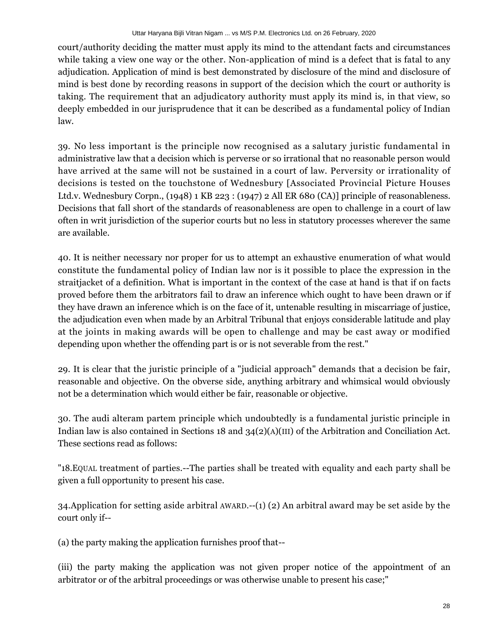court/authority deciding the matter must apply its mind to the attendant facts and circumstances while taking a view one way or the other. Non-application of mind is a defect that is fatal to any adjudication. Application of mind is best demonstrated by disclosure of the mind and disclosure of mind is best done by recording reasons in support of the decision which the court or authority is taking. The requirement that an adjudicatory authority must apply its mind is, in that view, so deeply embedded in our jurisprudence that it can be described as a fundamental policy of Indian law.

39. No less important is the principle now recognised as a salutary juristic fundamental in administrative law that a decision which is perverse or so irrational that no reasonable person would have arrived at the same will not be sustained in a court of law. Perversity or irrationality of decisions is tested on the touchstone of Wednesbury [Associated Provincial Picture Houses Ltd.v. Wednesbury Corpn., (1948) 1 KB 223 : (1947) 2 All ER 680 (CA)] principle of reasonableness. Decisions that fall short of the standards of reasonableness are open to challenge in a court of law often in writ jurisdiction of the superior courts but no less in statutory processes wherever the same are available.

40. It is neither necessary nor proper for us to attempt an exhaustive enumeration of what would constitute the fundamental policy of Indian law nor is it possible to place the expression in the straitjacket of a definition. What is important in the context of the case at hand is that if on facts proved before them the arbitrators fail to draw an inference which ought to have been drawn or if they have drawn an inference which is on the face of it, untenable resulting in miscarriage of justice, the adjudication even when made by an Arbitral Tribunal that enjoys considerable latitude and play at the joints in making awards will be open to challenge and may be cast away or modified depending upon whether the offending part is or is not severable from the rest."

29. It is clear that the juristic principle of a "judicial approach" demands that a decision be fair, reasonable and objective. On the obverse side, anything arbitrary and whimsical would obviously not be a determination which would either be fair, reasonable or objective.

30. The audi alteram partem principle which undoubtedly is a fundamental juristic principle in Indian law is also contained in Sections 18 and 34(2)(A)(III) of the Arbitration and Conciliation Act. These sections read as follows:

"18.EQUAL treatment of parties.--The parties shall be treated with equality and each party shall be given a full opportunity to present his case.

34. Application for setting aside arbitral AWARD.--(1) (2) An arbitral award may be set aside by the court only if--

(a) the party making the application furnishes proof that--

(iii) the party making the application was not given proper notice of the appointment of an arbitrator or of the arbitral proceedings or was otherwise unable to present his case;"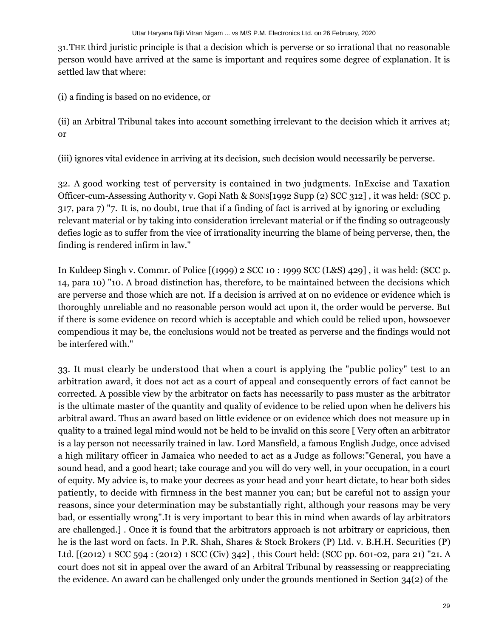31.THE third juristic principle is that a decision which is perverse or so irrational that no reasonable person would have arrived at the same is important and requires some degree of explanation. It is settled law that where:

(i) a finding is based on no evidence, or

(ii) an Arbitral Tribunal takes into account something irrelevant to the decision which it arrives at; or

(iii) ignores vital evidence in arriving at its decision, such decision would necessarily be perverse.

32. A good working test of perversity is contained in two judgments. InExcise and Taxation Officer-cum-Assessing Authority v. Gopi Nath & SONS[1992 Supp (2) SCC 312] , it was held: (SCC p. 317, para 7) "7. It is, no doubt, true that if a finding of fact is arrived at by ignoring or excluding relevant material or by taking into consideration irrelevant material or if the finding so outrageously defies logic as to suffer from the vice of irrationality incurring the blame of being perverse, then, the finding is rendered infirm in law."

In Kuldeep Singh v. Commr. of Police [(1999) 2 SCC 10 : 1999 SCC (L&S) 429] , it was held: (SCC p. 14, para 10) "10. A broad distinction has, therefore, to be maintained between the decisions which are perverse and those which are not. If a decision is arrived at on no evidence or evidence which is thoroughly unreliable and no reasonable person would act upon it, the order would be perverse. But if there is some evidence on record which is acceptable and which could be relied upon, howsoever compendious it may be, the conclusions would not be treated as perverse and the findings would not be interfered with."

33. It must clearly be understood that when a court is applying the "public policy" test to an arbitration award, it does not act as a court of appeal and consequently errors of fact cannot be corrected. A possible view by the arbitrator on facts has necessarily to pass muster as the arbitrator is the ultimate master of the quantity and quality of evidence to be relied upon when he delivers his arbitral award. Thus an award based on little evidence or on evidence which does not measure up in quality to a trained legal mind would not be held to be invalid on this score [ Very often an arbitrator is a lay person not necessarily trained in law. Lord Mansfield, a famous English Judge, once advised a high military officer in Jamaica who needed to act as a Judge as follows:"General, you have a sound head, and a good heart; take courage and you will do very well, in your occupation, in a court of equity. My advice is, to make your decrees as your head and your heart dictate, to hear both sides patiently, to decide with firmness in the best manner you can; but be careful not to assign your reasons, since your determination may be substantially right, although your reasons may be very bad, or essentially wrong".It is very important to bear this in mind when awards of lay arbitrators are challenged.] . Once it is found that the arbitrators approach is not arbitrary or capricious, then he is the last word on facts. In P.R. Shah, Shares & Stock Brokers (P) Ltd. v. B.H.H. Securities (P) Ltd. [(2012) 1 SCC 594 : (2012) 1 SCC (Civ) 342] , this Court held: (SCC pp. 601-02, para 21) "21. A court does not sit in appeal over the award of an Arbitral Tribunal by reassessing or reappreciating the evidence. An award can be challenged only under the grounds mentioned in Section 34(2) of the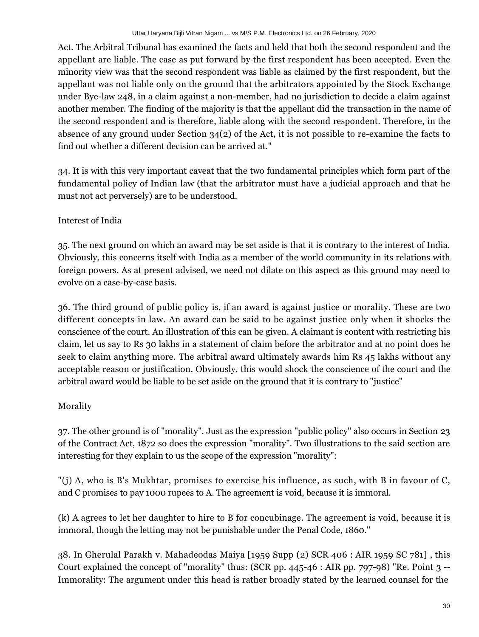Act. The Arbitral Tribunal has examined the facts and held that both the second respondent and the appellant are liable. The case as put forward by the first respondent has been accepted. Even the minority view was that the second respondent was liable as claimed by the first respondent, but the appellant was not liable only on the ground that the arbitrators appointed by the Stock Exchange under Bye-law 248, in a claim against a non-member, had no jurisdiction to decide a claim against another member. The finding of the majority is that the appellant did the transaction in the name of the second respondent and is therefore, liable along with the second respondent. Therefore, in the absence of any ground under Section 34(2) of the Act, it is not possible to re-examine the facts to find out whether a different decision can be arrived at."

34. It is with this very important caveat that the two fundamental principles which form part of the fundamental policy of Indian law (that the arbitrator must have a judicial approach and that he must not act perversely) are to be understood.

## Interest of India

35. The next ground on which an award may be set aside is that it is contrary to the interest of India. Obviously, this concerns itself with India as a member of the world community in its relations with foreign powers. As at present advised, we need not dilate on this aspect as this ground may need to evolve on a case-by-case basis.

36. The third ground of public policy is, if an award is against justice or morality. These are two different concepts in law. An award can be said to be against justice only when it shocks the conscience of the court. An illustration of this can be given. A claimant is content with restricting his claim, let us say to Rs 30 lakhs in a statement of claim before the arbitrator and at no point does he seek to claim anything more. The arbitral award ultimately awards him Rs 45 lakhs without any acceptable reason or justification. Obviously, this would shock the conscience of the court and the arbitral award would be liable to be set aside on the ground that it is contrary to "justice"

# Morality

37. The other ground is of "morality". Just as the expression "public policy" also occurs in Section 23 of the Contract Act, 1872 so does the expression "morality". Two illustrations to the said section are interesting for they explain to us the scope of the expression "morality":

"(j) A, who is B's Mukhtar, promises to exercise his influence, as such, with B in favour of C, and C promises to pay 1000 rupees to A. The agreement is void, because it is immoral.

(k) A agrees to let her daughter to hire to B for concubinage. The agreement is void, because it is immoral, though the letting may not be punishable under the Penal Code, 1860."

38. In Gherulal Parakh v. Mahadeodas Maiya [1959 Supp (2) SCR 406 : AIR 1959 SC 781] , this Court explained the concept of "morality" thus: (SCR pp. 445-46 : AIR pp. 797-98) "Re. Point 3 -- Immorality: The argument under this head is rather broadly stated by the learned counsel for the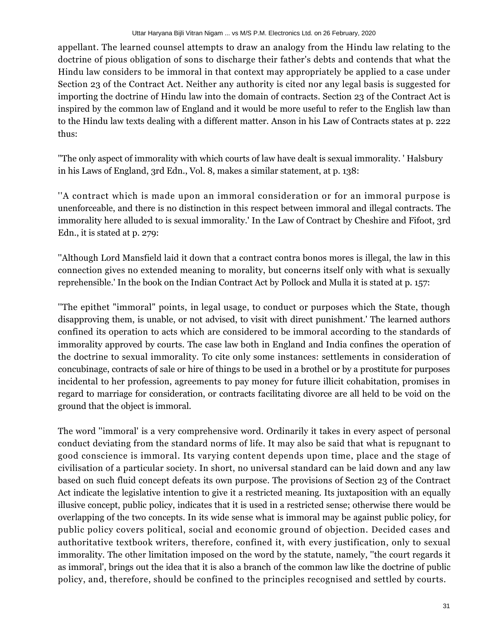appellant. The learned counsel attempts to draw an analogy from the Hindu law relating to the doctrine of pious obligation of sons to discharge their father's debts and contends that what the Hindu law considers to be immoral in that context may appropriately be applied to a case under Section 23 of the Contract Act. Neither any authority is cited nor any legal basis is suggested for importing the doctrine of Hindu law into the domain of contracts. Section 23 of the Contract Act is inspired by the common law of England and it would be more useful to refer to the English law than to the Hindu law texts dealing with a different matter. Anson in his Law of Contracts states at p. 222 thus:

''The only aspect of immorality with which courts of law have dealt is sexual immorality. ' Halsbury in his Laws of England, 3rd Edn., Vol. 8, makes a similar statement, at p. 138:

''A contract which is made upon an immoral consideration or for an immoral purpose is unenforceable, and there is no distinction in this respect between immoral and illegal contracts. The immorality here alluded to is sexual immorality.' In the Law of Contract by Cheshire and Fifoot, 3rd Edn., it is stated at p. 279:

''Although Lord Mansfield laid it down that a contract contra bonos mores is illegal, the law in this connection gives no extended meaning to morality, but concerns itself only with what is sexually reprehensible.' In the book on the Indian Contract Act by Pollock and Mulla it is stated at p. 157:

''The epithet "immoral" points, in legal usage, to conduct or purposes which the State, though disapproving them, is unable, or not advised, to visit with direct punishment.' The learned authors confined its operation to acts which are considered to be immoral according to the standards of immorality approved by courts. The case law both in England and India confines the operation of the doctrine to sexual immorality. To cite only some instances: settlements in consideration of concubinage, contracts of sale or hire of things to be used in a brothel or by a prostitute for purposes incidental to her profession, agreements to pay money for future illicit cohabitation, promises in regard to marriage for consideration, or contracts facilitating divorce are all held to be void on the ground that the object is immoral.

The word ''immoral' is a very comprehensive word. Ordinarily it takes in every aspect of personal conduct deviating from the standard norms of life. It may also be said that what is repugnant to good conscience is immoral. Its varying content depends upon time, place and the stage of civilisation of a particular society. In short, no universal standard can be laid down and any law based on such fluid concept defeats its own purpose. The provisions of Section 23 of the Contract Act indicate the legislative intention to give it a restricted meaning. Its juxtaposition with an equally illusive concept, public policy, indicates that it is used in a restricted sense; otherwise there would be overlapping of the two concepts. In its wide sense what is immoral may be against public policy, for public policy covers political, social and economic ground of objection. Decided cases and authoritative textbook writers, therefore, confined it, with every justification, only to sexual immorality. The other limitation imposed on the word by the statute, namely, ''the court regards it as immoral', brings out the idea that it is also a branch of the common law like the doctrine of public policy, and, therefore, should be confined to the principles recognised and settled by courts.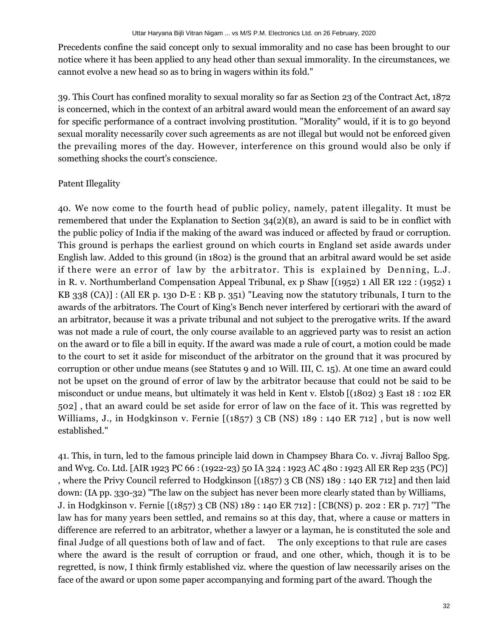Precedents confine the said concept only to sexual immorality and no case has been brought to our notice where it has been applied to any head other than sexual immorality. In the circumstances, we cannot evolve a new head so as to bring in wagers within its fold."

39. This Court has confined morality to sexual morality so far as Section 23 of the Contract Act, 1872 is concerned, which in the context of an arbitral award would mean the enforcement of an award say for specific performance of a contract involving prostitution. "Morality" would, if it is to go beyond sexual morality necessarily cover such agreements as are not illegal but would not be enforced given the prevailing mores of the day. However, interference on this ground would also be only if something shocks the court's conscience.

#### Patent Illegality

40. We now come to the fourth head of public policy, namely, patent illegality. It must be remembered that under the Explanation to Section 34(2)(B), an award is said to be in conflict with the public policy of India if the making of the award was induced or affected by fraud or corruption. This ground is perhaps the earliest ground on which courts in England set aside awards under English law. Added to this ground (in 1802) is the ground that an arbitral award would be set aside if there were an error of law by the arbitrator. This is explained by Denning, L.J. in R. v. Northumberland Compensation Appeal Tribunal, ex p Shaw [(1952) 1 All ER 122 : (1952) 1 KB 338 (CA)] : (All ER p. 130 D-E : KB p. 351) "Leaving now the statutory tribunals, I turn to the awards of the arbitrators. The Court of King's Bench never interfered by certiorari with the award of an arbitrator, because it was a private tribunal and not subject to the prerogative writs. If the award was not made a rule of court, the only course available to an aggrieved party was to resist an action on the award or to file a bill in equity. If the award was made a rule of court, a motion could be made to the court to set it aside for misconduct of the arbitrator on the ground that it was procured by corruption or other undue means (see Statutes 9 and 10 Will. III, C. 15). At one time an award could not be upset on the ground of error of law by the arbitrator because that could not be said to be misconduct or undue means, but ultimately it was held in Kent v. Elstob [(1802) 3 East 18 : 102 ER 502] , that an award could be set aside for error of law on the face of it. This was regretted by Williams, J., in Hodgkinson v. Fernie [(1857) 3 CB (NS) 189 : 140 ER 712] , but is now well established."

41. This, in turn, led to the famous principle laid down in Champsey Bhara Co. v. Jivraj Balloo Spg. and Wvg. Co. Ltd. [AIR 1923 PC 66 : (1922-23) 50 IA 324 : 1923 AC 480 : 1923 All ER Rep 235 (PC)] , where the Privy Council referred to Hodgkinson [(1857) 3 CB (NS) 189 : 140 ER 712] and then laid down: (IA pp. 330-32) "The law on the subject has never been more clearly stated than by Williams, J. in Hodgkinson v. Fernie [(1857) 3 CB (NS) 189 : 140 ER 712] : [CB(NS) p. 202 : ER p. 717] ''The law has for many years been settled, and remains so at this day, that, where a cause or matters in difference are referred to an arbitrator, whether a lawyer or a layman, he is constituted the sole and final Judge of all questions both of law and of fact. The only exceptions to that rule are cases where the award is the result of corruption or fraud, and one other, which, though it is to be regretted, is now, I think firmly established viz. where the question of law necessarily arises on the face of the award or upon some paper accompanying and forming part of the award. Though the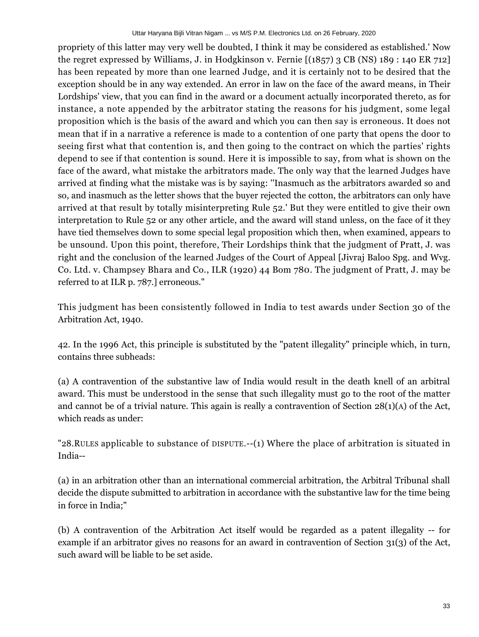propriety of this latter may very well be doubted, I think it may be considered as established.' Now the regret expressed by Williams, J. in Hodgkinson v. Fernie [(1857) 3 CB (NS) 189 : 140 ER 712] has been repeated by more than one learned Judge, and it is certainly not to be desired that the exception should be in any way extended. An error in law on the face of the award means, in Their Lordships' view, that you can find in the award or a document actually incorporated thereto, as for instance, a note appended by the arbitrator stating the reasons for his judgment, some legal proposition which is the basis of the award and which you can then say is erroneous. It does not mean that if in a narrative a reference is made to a contention of one party that opens the door to seeing first what that contention is, and then going to the contract on which the parties' rights depend to see if that contention is sound. Here it is impossible to say, from what is shown on the face of the award, what mistake the arbitrators made. The only way that the learned Judges have arrived at finding what the mistake was is by saying: ''Inasmuch as the arbitrators awarded so and so, and inasmuch as the letter shows that the buyer rejected the cotton, the arbitrators can only have arrived at that result by totally misinterpreting Rule 52.' But they were entitled to give their own interpretation to Rule 52 or any other article, and the award will stand unless, on the face of it they have tied themselves down to some special legal proposition which then, when examined, appears to be unsound. Upon this point, therefore, Their Lordships think that the judgment of Pratt, J. was right and the conclusion of the learned Judges of the Court of Appeal [Jivraj Baloo Spg. and Wvg. Co. Ltd. v. Champsey Bhara and Co., ILR (1920) 44 Bom 780. The judgment of Pratt, J. may be referred to at ILR p. 787.] erroneous."

This judgment has been consistently followed in India to test awards under Section 30 of the Arbitration Act, 1940.

42. In the 1996 Act, this principle is substituted by the "patent illegality" principle which, in turn, contains three subheads:

(a) A contravention of the substantive law of India would result in the death knell of an arbitral award. This must be understood in the sense that such illegality must go to the root of the matter and cannot be of a trivial nature. This again is really a contravention of Section  $28(1)(A)$  of the Act, which reads as under:

"28.RULES applicable to substance of DISPUTE.--(1) Where the place of arbitration is situated in India--

(a) in an arbitration other than an international commercial arbitration, the Arbitral Tribunal shall decide the dispute submitted to arbitration in accordance with the substantive law for the time being in force in India;"

(b) A contravention of the Arbitration Act itself would be regarded as a patent illegality -- for example if an arbitrator gives no reasons for an award in contravention of Section 31(3) of the Act, such award will be liable to be set aside.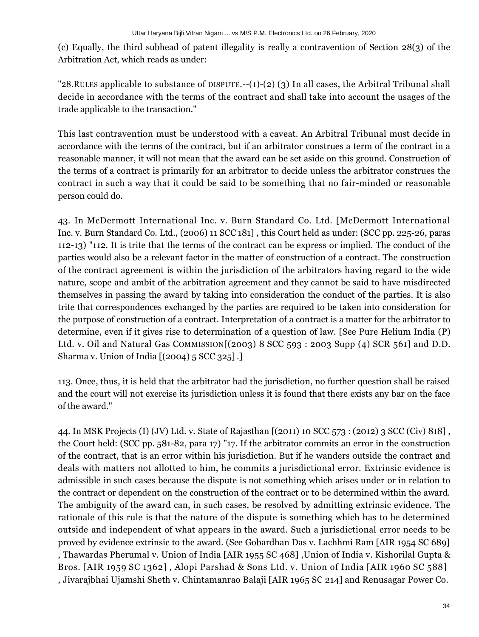(c) Equally, the third subhead of patent illegality is really a contravention of Section 28(3) of the Arbitration Act, which reads as under:

"28. RULES applicable to substance of DISPUTE.--(1)-(2) (3) In all cases, the Arbitral Tribunal shall decide in accordance with the terms of the contract and shall take into account the usages of the trade applicable to the transaction."

This last contravention must be understood with a caveat. An Arbitral Tribunal must decide in accordance with the terms of the contract, but if an arbitrator construes a term of the contract in a reasonable manner, it will not mean that the award can be set aside on this ground. Construction of the terms of a contract is primarily for an arbitrator to decide unless the arbitrator construes the contract in such a way that it could be said to be something that no fair-minded or reasonable person could do.

43. In McDermott International Inc. v. Burn Standard Co. Ltd. [McDermott International Inc. v. Burn Standard Co. Ltd., (2006) 11 SCC 181] , this Court held as under: (SCC pp. 225-26, paras 112-13) "112. It is trite that the terms of the contract can be express or implied. The conduct of the parties would also be a relevant factor in the matter of construction of a contract. The construction of the contract agreement is within the jurisdiction of the arbitrators having regard to the wide nature, scope and ambit of the arbitration agreement and they cannot be said to have misdirected themselves in passing the award by taking into consideration the conduct of the parties. It is also trite that correspondences exchanged by the parties are required to be taken into consideration for the purpose of construction of a contract. Interpretation of a contract is a matter for the arbitrator to determine, even if it gives rise to determination of a question of law. [See Pure Helium India (P) Ltd. v. Oil and Natural Gas COMMISSION[(2003) 8 SCC 593 : 2003 Supp (4) SCR 561] and D.D. Sharma v. Union of India [(2004) 5 SCC 325] .]

113. Once, thus, it is held that the arbitrator had the jurisdiction, no further question shall be raised and the court will not exercise its jurisdiction unless it is found that there exists any bar on the face of the award."

44. In MSK Projects (I) (JV) Ltd. v. State of Rajasthan [(2011) 10 SCC 573 : (2012) 3 SCC (Civ) 818] , the Court held: (SCC pp. 581-82, para 17) "17. If the arbitrator commits an error in the construction of the contract, that is an error within his jurisdiction. But if he wanders outside the contract and deals with matters not allotted to him, he commits a jurisdictional error. Extrinsic evidence is admissible in such cases because the dispute is not something which arises under or in relation to the contract or dependent on the construction of the contract or to be determined within the award. The ambiguity of the award can, in such cases, be resolved by admitting extrinsic evidence. The rationale of this rule is that the nature of the dispute is something which has to be determined outside and independent of what appears in the award. Such a jurisdictional error needs to be proved by evidence extrinsic to the award. (See Gobardhan Das v. Lachhmi Ram [AIR 1954 SC 689] , Thawardas Pherumal v. Union of India [AIR 1955 SC 468] ,Union of India v. Kishorilal Gupta & Bros. [AIR 1959 SC 1362] , Alopi Parshad & Sons Ltd. v. Union of India [AIR 1960 SC 588] , Jivarajbhai Ujamshi Sheth v. Chintamanrao Balaji [AIR 1965 SC 214] and Renusagar Power Co.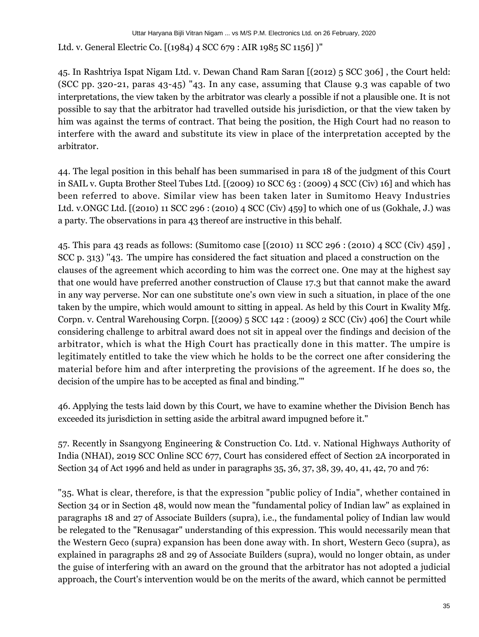Ltd. v. General Electric Co. [(1984) 4 SCC 679 : AIR 1985 SC 1156] )"

45. In Rashtriya Ispat Nigam Ltd. v. Dewan Chand Ram Saran [(2012) 5 SCC 306] , the Court held: (SCC pp. 320-21, paras 43-45) "43. In any case, assuming that Clause 9.3 was capable of two interpretations, the view taken by the arbitrator was clearly a possible if not a plausible one. It is not possible to say that the arbitrator had travelled outside his jurisdiction, or that the view taken by him was against the terms of contract. That being the position, the High Court had no reason to interfere with the award and substitute its view in place of the interpretation accepted by the arbitrator.

44. The legal position in this behalf has been summarised in para 18 of the judgment of this Court in SAIL v. Gupta Brother Steel Tubes Ltd. [(2009) 10 SCC 63 : (2009) 4 SCC (Civ) 16] and which has been referred to above. Similar view has been taken later in Sumitomo Heavy Industries Ltd. v.ONGC Ltd. [(2010) 11 SCC 296 : (2010) 4 SCC (Civ) 459] to which one of us (Gokhale, J.) was a party. The observations in para 43 thereof are instructive in this behalf.

45. This para 43 reads as follows: (Sumitomo case [(2010) 11 SCC 296 : (2010) 4 SCC (Civ) 459] , SCC p. 313) ''43. The umpire has considered the fact situation and placed a construction on the clauses of the agreement which according to him was the correct one. One may at the highest say that one would have preferred another construction of Clause 17.3 but that cannot make the award in any way perverse. Nor can one substitute one's own view in such a situation, in place of the one taken by the umpire, which would amount to sitting in appeal. As held by this Court in Kwality Mfg. Corpn. v. Central Warehousing Corpn. [(2009) 5 SCC 142 : (2009) 2 SCC (Civ) 406] the Court while considering challenge to arbitral award does not sit in appeal over the findings and decision of the arbitrator, which is what the High Court has practically done in this matter. The umpire is legitimately entitled to take the view which he holds to be the correct one after considering the material before him and after interpreting the provisions of the agreement. If he does so, the decision of the umpire has to be accepted as final and binding.'"

46. Applying the tests laid down by this Court, we have to examine whether the Division Bench has exceeded its jurisdiction in setting aside the arbitral award impugned before it."

57. Recently in Ssangyong Engineering & Construction Co. Ltd. v. National Highways Authority of India (NHAI), 2019 SCC Online SCC 677, Court has considered effect of Section 2A incorporated in Section 34 of Act 1996 and held as under in paragraphs 35, 36, 37, 38, 39, 40, 41, 42, 70 and 76:

"35. What is clear, therefore, is that the expression "public policy of India", whether contained in Section 34 or in Section 48, would now mean the "fundamental policy of Indian law" as explained in paragraphs 18 and 27 of Associate Builders (supra), i.e., the fundamental policy of Indian law would be relegated to the "Renusagar" understanding of this expression. This would necessarily mean that the Western Geco (supra) expansion has been done away with. In short, Western Geco (supra), as explained in paragraphs 28 and 29 of Associate Builders (supra), would no longer obtain, as under the guise of interfering with an award on the ground that the arbitrator has not adopted a judicial approach, the Court's intervention would be on the merits of the award, which cannot be permitted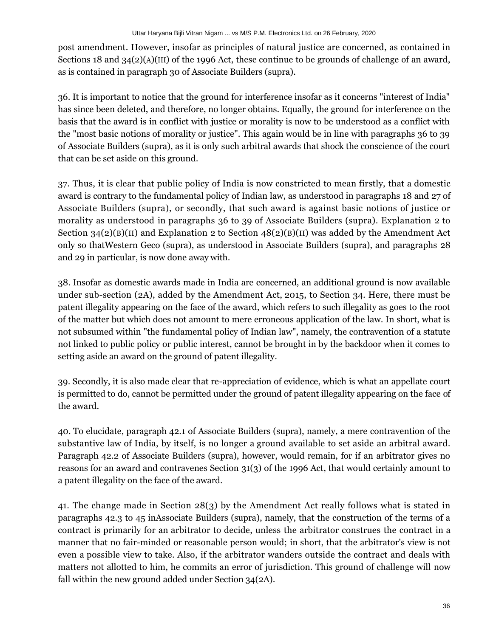post amendment. However, insofar as principles of natural justice are concerned, as contained in Sections 18 and 34(2)(A)(III) of the 1996 Act, these continue to be grounds of challenge of an award, as is contained in paragraph 30 of Associate Builders (supra).

36. It is important to notice that the ground for interference insofar as it concerns "interest of India" has since been deleted, and therefore, no longer obtains. Equally, the ground for interference on the basis that the award is in conflict with justice or morality is now to be understood as a conflict with the "most basic notions of morality or justice". This again would be in line with paragraphs 36 to 39 of Associate Builders (supra), as it is only such arbitral awards that shock the conscience of the court that can be set aside on this ground.

37. Thus, it is clear that public policy of India is now constricted to mean firstly, that a domestic award is contrary to the fundamental policy of Indian law, as understood in paragraphs 18 and 27 of Associate Builders (supra), or secondly, that such award is against basic notions of justice or morality as understood in paragraphs 36 to 39 of Associate Builders (supra). Explanation 2 to Section  $34(2)(B)(II)$  and Explanation 2 to Section  $48(2)(B)(II)$  was added by the Amendment Act only so thatWestern Geco (supra), as understood in Associate Builders (supra), and paragraphs 28 and 29 in particular, is now done away with.

38. Insofar as domestic awards made in India are concerned, an additional ground is now available under sub-section (2A), added by the Amendment Act, 2015, to Section 34. Here, there must be patent illegality appearing on the face of the award, which refers to such illegality as goes to the root of the matter but which does not amount to mere erroneous application of the law. In short, what is not subsumed within "the fundamental policy of Indian law", namely, the contravention of a statute not linked to public policy or public interest, cannot be brought in by the backdoor when it comes to setting aside an award on the ground of patent illegality.

39. Secondly, it is also made clear that re-appreciation of evidence, which is what an appellate court is permitted to do, cannot be permitted under the ground of patent illegality appearing on the face of the award.

40. To elucidate, paragraph 42.1 of Associate Builders (supra), namely, a mere contravention of the substantive law of India, by itself, is no longer a ground available to set aside an arbitral award. Paragraph 42.2 of Associate Builders (supra), however, would remain, for if an arbitrator gives no reasons for an award and contravenes Section 31(3) of the 1996 Act, that would certainly amount to a patent illegality on the face of the award.

41. The change made in Section 28(3) by the Amendment Act really follows what is stated in paragraphs 42.3 to 45 inAssociate Builders (supra), namely, that the construction of the terms of a contract is primarily for an arbitrator to decide, unless the arbitrator construes the contract in a manner that no fair-minded or reasonable person would; in short, that the arbitrator's view is not even a possible view to take. Also, if the arbitrator wanders outside the contract and deals with matters not allotted to him, he commits an error of jurisdiction. This ground of challenge will now fall within the new ground added under Section 34(2A).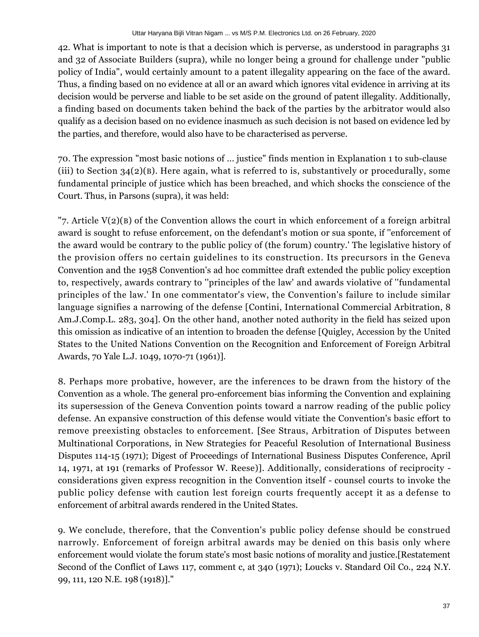42. What is important to note is that a decision which is perverse, as understood in paragraphs 31 and 32 of Associate Builders (supra), while no longer being a ground for challenge under "public policy of India", would certainly amount to a patent illegality appearing on the face of the award. Thus, a finding based on no evidence at all or an award which ignores vital evidence in arriving at its decision would be perverse and liable to be set aside on the ground of patent illegality. Additionally, a finding based on documents taken behind the back of the parties by the arbitrator would also qualify as a decision based on no evidence inasmuch as such decision is not based on evidence led by the parties, and therefore, would also have to be characterised as perverse.

70. The expression "most basic notions of ... justice" finds mention in Explanation 1 to sub-clause (iii) to Section  $34(2)(B)$ . Here again, what is referred to is, substantively or procedurally, some fundamental principle of justice which has been breached, and which shocks the conscience of the Court. Thus, in Parsons (supra), it was held:

"7. Article  $V(2)(B)$  of the Convention allows the court in which enforcement of a foreign arbitral award is sought to refuse enforcement, on the defendant's motion or sua sponte, if ''enforcement of the award would be contrary to the public policy of (the forum) country.' The legislative history of the provision offers no certain guidelines to its construction. Its precursors in the Geneva Convention and the 1958 Convention's ad hoc committee draft extended the public policy exception to, respectively, awards contrary to ''principles of the law' and awards violative of ''fundamental principles of the law.' In one commentator's view, the Convention's failure to include similar language signifies a narrowing of the defense [Contini, International Commercial Arbitration, 8 Am.J.Comp.L. 283, 304]. On the other hand, another noted authority in the field has seized upon this omission as indicative of an intention to broaden the defense [Quigley, Accession by the United States to the United Nations Convention on the Recognition and Enforcement of Foreign Arbitral Awards, 70 Yale L.J. 1049, 1070-71 (1961)].

8. Perhaps more probative, however, are the inferences to be drawn from the history of the Convention as a whole. The general pro-enforcement bias informing the Convention and explaining its supersession of the Geneva Convention points toward a narrow reading of the public policy defense. An expansive construction of this defense would vitiate the Convention's basic effort to remove preexisting obstacles to enforcement. [See Straus, Arbitration of Disputes between Multinational Corporations, in New Strategies for Peaceful Resolution of International Business Disputes 114-15 (1971); Digest of Proceedings of International Business Disputes Conference, April 14, 1971, at 191 (remarks of Professor W. Reese)]. Additionally, considerations of reciprocity considerations given express recognition in the Convention itself - counsel courts to invoke the public policy defense with caution lest foreign courts frequently accept it as a defense to enforcement of arbitral awards rendered in the United States.

9. We conclude, therefore, that the Convention's public policy defense should be construed narrowly. Enforcement of foreign arbitral awards may be denied on this basis only where enforcement would violate the forum state's most basic notions of morality and justice.[Restatement Second of the Conflict of Laws 117, comment c, at 340 (1971); Loucks v. Standard Oil Co., 224 N.Y. 99, 111, 120 N.E. 198 (1918)]."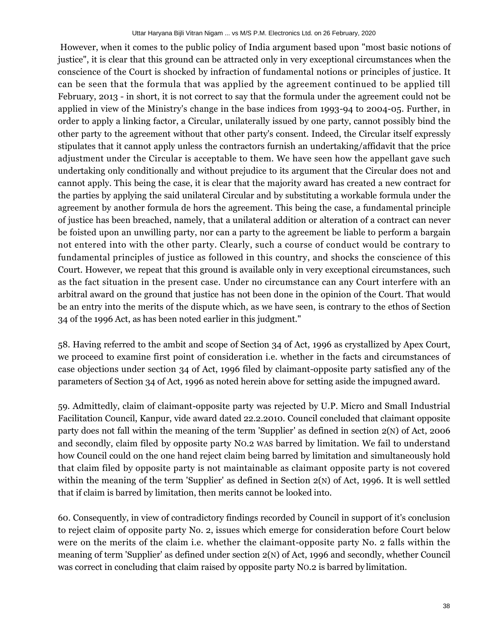However, when it comes to the public policy of India argument based upon "most basic notions of justice", it is clear that this ground can be attracted only in very exceptional circumstances when the conscience of the Court is shocked by infraction of fundamental notions or principles of justice. It can be seen that the formula that was applied by the agreement continued to be applied till February, 2013 - in short, it is not correct to say that the formula under the agreement could not be applied in view of the Ministry's change in the base indices from 1993-94 to 2004-05. Further, in order to apply a linking factor, a Circular, unilaterally issued by one party, cannot possibly bind the other party to the agreement without that other party's consent. Indeed, the Circular itself expressly stipulates that it cannot apply unless the contractors furnish an undertaking/affidavit that the price adjustment under the Circular is acceptable to them. We have seen how the appellant gave such undertaking only conditionally and without prejudice to its argument that the Circular does not and cannot apply. This being the case, it is clear that the majority award has created a new contract for the parties by applying the said unilateral Circular and by substituting a workable formula under the agreement by another formula de hors the agreement. This being the case, a fundamental principle of justice has been breached, namely, that a unilateral addition or alteration of a contract can never be foisted upon an unwilling party, nor can a party to the agreement be liable to perform a bargain not entered into with the other party. Clearly, such a course of conduct would be contrary to fundamental principles of justice as followed in this country, and shocks the conscience of this Court. However, we repeat that this ground is available only in very exceptional circumstances, such as the fact situation in the present case. Under no circumstance can any Court interfere with an arbitral award on the ground that justice has not been done in the opinion of the Court. That would be an entry into the merits of the dispute which, as we have seen, is contrary to the ethos of Section 34 of the 1996 Act, as has been noted earlier in this judgment."

58. Having referred to the ambit and scope of Section 34 of Act, 1996 as crystallized by Apex Court, we proceed to examine first point of consideration i.e. whether in the facts and circumstances of case objections under section 34 of Act, 1996 filed by claimant-opposite party satisfied any of the parameters of Section 34 of Act, 1996 as noted herein above for setting aside the impugned award.

59. Admittedly, claim of claimant-opposite party was rejected by U.P. Micro and Small Industrial Facilitation Council, Kanpur, vide award dated 22.2.2010. Council concluded that claimant opposite party does not fall within the meaning of the term 'Supplier' as defined in section 2(N) of Act, 2006 and secondly, claim filed by opposite party NO.2 WAS barred by limitation. We fail to understand how Council could on the one hand reject claim being barred by limitation and simultaneously hold that claim filed by opposite party is not maintainable as claimant opposite party is not covered within the meaning of the term 'Supplier' as defined in Section 2(N) of Act, 1996. It is well settled that if claim is barred by limitation, then merits cannot be looked into.

60. Consequently, in view of contradictory findings recorded by Council in support of it's conclusion to reject claim of opposite party No. 2, issues which emerge for consideration before Court below were on the merits of the claim i.e. whether the claimant-opposite party No. 2 falls within the meaning of term 'Supplier' as defined under section 2(N) of Act, 1996 and secondly, whether Council was correct in concluding that claim raised by opposite party NO.2 is barred by limitation.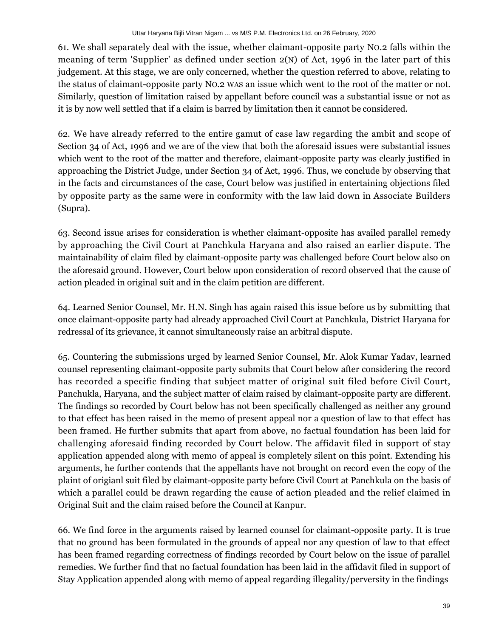61. We shall separately deal with the issue, whether claimant-opposite party NO.2 falls within the meaning of term 'Supplier' as defined under section 2(N) of Act, 1996 in the later part of this judgement. At this stage, we are only concerned, whether the question referred to above, relating to the status of claimant-opposite party NO.2 WAS an issue which went to the root of the matter or not. Similarly, question of limitation raised by appellant before council was a substantial issue or not as it is by now well settled that if a claim is barred by limitation then it cannot be considered.

62. We have already referred to the entire gamut of case law regarding the ambit and scope of Section 34 of Act, 1996 and we are of the view that both the aforesaid issues were substantial issues which went to the root of the matter and therefore, claimant-opposite party was clearly justified in approaching the District Judge, under Section 34 of Act, 1996. Thus, we conclude by observing that in the facts and circumstances of the case, Court below was justified in entertaining objections filed by opposite party as the same were in conformity with the law laid down in Associate Builders (Supra).

63. Second issue arises for consideration is whether claimant-opposite has availed parallel remedy by approaching the Civil Court at Panchkula Haryana and also raised an earlier dispute. The maintainability of claim filed by claimant-opposite party was challenged before Court below also on the aforesaid ground. However, Court below upon consideration of record observed that the cause of action pleaded in original suit and in the claim petition are different.

64. Learned Senior Counsel, Mr. H.N. Singh has again raised this issue before us by submitting that once claimant-opposite party had already approached Civil Court at Panchkula, District Haryana for redressal of its grievance, it cannot simultaneously raise an arbitral dispute.

65. Countering the submissions urged by learned Senior Counsel, Mr. Alok Kumar Yadav, learned counsel representing claimant-opposite party submits that Court below after considering the record has recorded a specific finding that subject matter of original suit filed before Civil Court, Panchukla, Haryana, and the subject matter of claim raised by claimant-opposite party are different. The findings so recorded by Court below has not been specifically challenged as neither any ground to that effect has been raised in the memo of present appeal nor a question of law to that effect has been framed. He further submits that apart from above, no factual foundation has been laid for challenging aforesaid finding recorded by Court below. The affidavit filed in support of stay application appended along with memo of appeal is completely silent on this point. Extending his arguments, he further contends that the appellants have not brought on record even the copy of the plaint of origianl suit filed by claimant-opposite party before Civil Court at Panchkula on the basis of which a parallel could be drawn regarding the cause of action pleaded and the relief claimed in Original Suit and the claim raised before the Council at Kanpur.

66. We find force in the arguments raised by learned counsel for claimant-opposite party. It is true that no ground has been formulated in the grounds of appeal nor any question of law to that effect has been framed regarding correctness of findings recorded by Court below on the issue of parallel remedies. We further find that no factual foundation has been laid in the affidavit filed in support of Stay Application appended along with memo of appeal regarding illegality/perversity in the findings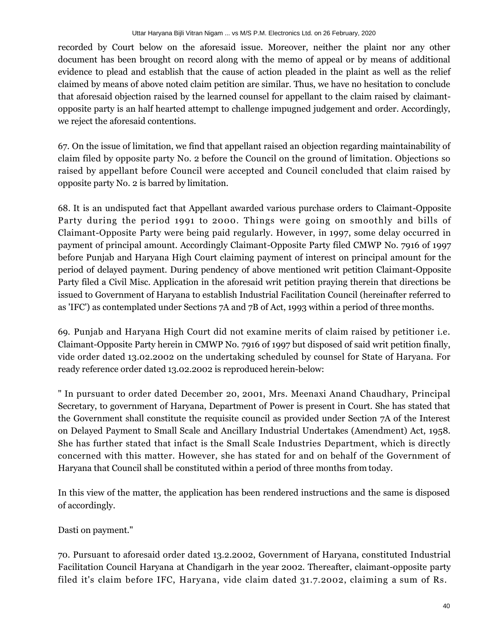recorded by Court below on the aforesaid issue. Moreover, neither the plaint nor any other document has been brought on record along with the memo of appeal or by means of additional evidence to plead and establish that the cause of action pleaded in the plaint as well as the relief claimed by means of above noted claim petition are similar. Thus, we have no hesitation to conclude that aforesaid objection raised by the learned counsel for appellant to the claim raised by claimantopposite party is an half hearted attempt to challenge impugned judgement and order. Accordingly, we reject the aforesaid contentions.

67. On the issue of limitation, we find that appellant raised an objection regarding maintainability of claim filed by opposite party No. 2 before the Council on the ground of limitation. Objections so raised by appellant before Council were accepted and Council concluded that claim raised by opposite party No. 2 is barred by limitation.

68. It is an undisputed fact that Appellant awarded various purchase orders to Claimant-Opposite Party during the period 1991 to 2000. Things were going on smoothly and bills of Claimant-Opposite Party were being paid regularly. However, in 1997, some delay occurred in payment of principal amount. Accordingly Claimant-Opposite Party filed CMWP No. 7916 of 1997 before Punjab and Haryana High Court claiming payment of interest on principal amount for the period of delayed payment. During pendency of above mentioned writ petition Claimant-Opposite Party filed a Civil Misc. Application in the aforesaid writ petition praying therein that directions be issued to Government of Haryana to establish Industrial Facilitation Council (hereinafter referred to as 'IFC') as contemplated under Sections 7A and 7B of Act, 1993 within a period of three months.

69. Punjab and Haryana High Court did not examine merits of claim raised by petitioner i.e. Claimant-Opposite Party herein in CMWP No. 7916 of 1997 but disposed of said writ petition finally, vide order dated 13.02.2002 on the undertaking scheduled by counsel for State of Haryana. For ready reference order dated 13.02.2002 is reproduced herein-below:

" In pursuant to order dated December 20, 2001, Mrs. Meenaxi Anand Chaudhary, Principal Secretary, to government of Haryana, Department of Power is present in Court. She has stated that the Government shall constitute the requisite council as provided under Section 7A of the Interest on Delayed Payment to Small Scale and Ancillary Industrial Undertakes (Amendment) Act, 1958. She has further stated that infact is the Small Scale Industries Department, which is directly concerned with this matter. However, she has stated for and on behalf of the Government of Haryana that Council shall be constituted within a period of three months from today.

In this view of the matter, the application has been rendered instructions and the same is disposed of accordingly.

Dasti on payment."

70. Pursuant to aforesaid order dated 13.2.2002, Government of Haryana, constituted Industrial Facilitation Council Haryana at Chandigarh in the year 2002. Thereafter, claimant-opposite party filed it's claim before IFC, Haryana, vide claim dated 31.7.2002, claiming a sum of Rs.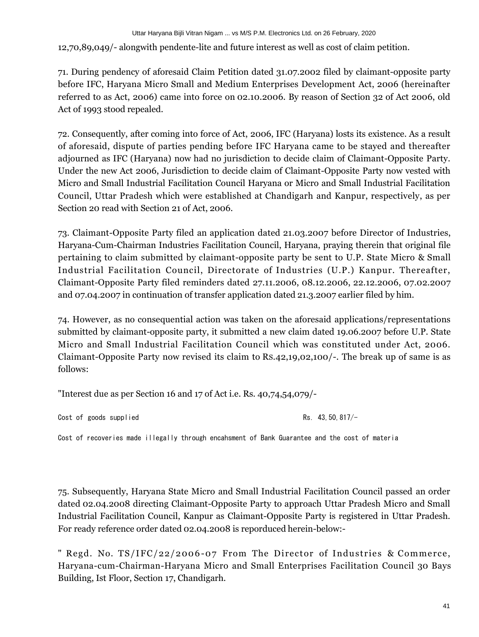12,70,89,049/- alongwith pendente-lite and future interest as well as cost of claim petition.

71. During pendency of aforesaid Claim Petition dated 31.07.2002 filed by claimant-opposite party before IFC, Haryana Micro Small and Medium Enterprises Development Act, 2006 (hereinafter referred to as Act, 2006) came into force on 02.10.2006. By reason of Section 32 of Act 2006, old Act of 1993 stood repealed.

72. Consequently, after coming into force of Act, 2006, IFC (Haryana) losts its existence. As a result of aforesaid, dispute of parties pending before IFC Haryana came to be stayed and thereafter adjourned as IFC (Haryana) now had no jurisdiction to decide claim of Claimant-Opposite Party. Under the new Act 2006, Jurisdiction to decide claim of Claimant-Opposite Party now vested with Micro and Small Industrial Facilitation Council Haryana or Micro and Small Industrial Facilitation Council, Uttar Pradesh which were established at Chandigarh and Kanpur, respectively, as per Section 20 read with Section 21 of Act, 2006.

73. Claimant-Opposite Party filed an application dated 21.03.2007 before Director of Industries, Haryana-Cum-Chairman Industries Facilitation Council, Haryana, praying therein that original file pertaining to claim submitted by claimant-opposite party be sent to U.P. State Micro & Small Industrial Facilitation Council, Directorate of Industries (U.P.) Kanpur. Thereafter, Claimant-Opposite Party filed reminders dated 27.11.2006, 08.12.2006, 22.12.2006, 07.02.2007 and 07.04.2007 in continuation of transfer application dated 21.3.2007 earlier filed by him.

74. However, as no consequential action was taken on the aforesaid applications/representations submitted by claimant-opposite party, it submitted a new claim dated 19.06.2007 before U.P. State Micro and Small Industrial Facilitation Council which was constituted under Act, 2006. Claimant-Opposite Party now revised its claim to RS.42,19,02,100/-. The break up of same is as follows:

"Interest due as per Section 16 and 17 of Act i.e. Rs. 40,74,54,079/-

```
Cost of goods supplied Rs. 43,50,817/-\n
```
Cost of recoveries made illegally through encahsment of Bank Guarantee and the cost of materia

75. Subsequently, Haryana State Micro and Small Industrial Facilitation Council passed an order dated 02.04.2008 directing Claimant-Opposite Party to approach Uttar Pradesh Micro and Small Industrial Facilitation Council, Kanpur as Claimant-Opposite Party is registered in Uttar Pradesh. For ready reference order dated 02.04.2008 is reporduced herein-below:-

" Regd. No. TS/IFC/22/2006-07 From The Director of Industries & Commerce, Haryana-cum-Chairman-Haryana Micro and Small Enterprises Facilitation Council 30 Bays Building, Ist Floor, Section 17, Chandigarh.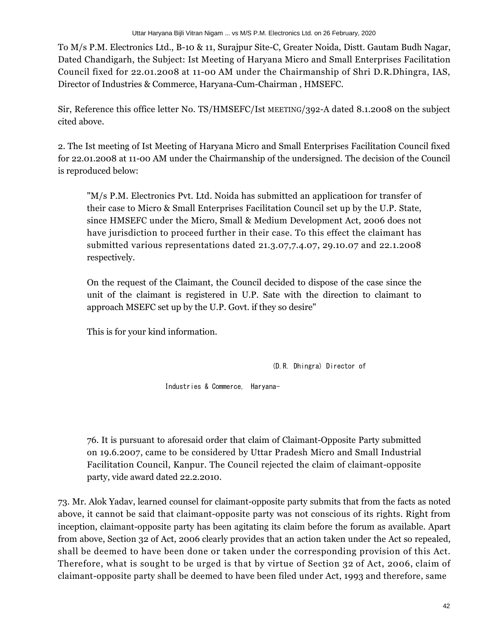To M/s P.M. Electronics Ltd., B-10 & 11, Surajpur Site-C, Greater Noida, Distt. Gautam Budh Nagar, Dated Chandigarh, the Subject: Ist Meeting of Haryana Micro and Small Enterprises Facilitation Council fixed for 22.01.2008 at 11-00 AM under the Chairmanship of Shri D.R.Dhingra, IAS, Director of Industries & Commerce, Haryana-Cum-Chairman , HMSEFC.

Sir, Reference this office letter No. TS/HMSEFC/Ist MEETING/392-A dated 8.1.2008 on the subject cited above.

2. The Ist meeting of Ist Meeting of Haryana Micro and Small Enterprises Facilitation Council fixed for 22.01.2008 at 11-00 AM under the Chairmanship of the undersigned. The decision of the Council is reproduced below:

 $M/s$  P.M. Electronics Pvt. Ltd. Noida has submitted an applicatioon for transfer of their case to Micro & Small Enterprises Facilitation Council set up by the U.P. State, since HMSEFC under the Micro, Small & Medium Development Act, 2006 does not have jurisdiction to proceed further in their case. To this effect the claimant has submitted various representations dated 21.3.07,7.4.07, 29.10.07 and 22.1.2008 respectively.

On the request of the Claimant, the Council decided to dispose of the case since the unit of the claimant is registered in U.P. Sate with the direction to claimant to approach MSEFC set up by the U.P. Govt. if they so desire"

This is for your kind information.

(D.R. Dhingra) Director of

Industries & Commerce, Haryana-

76. It is pursuant to aforesaid order that claim of Claimant-Opposite Party submitted on 19.6.2007, came to be considered by Uttar Pradesh Micro and Small Industrial Facilitation Council, Kanpur. The Council rejected the claim of claimant-opposite party, vide award dated 22.2.2010.

73. Mr. Alok Yadav, learned counsel for claimant-opposite party submits that from the facts as noted above, it cannot be said that claimant-opposite party was not conscious of its rights. Right from inception, claimant-opposite party has been agitating its claim before the forum as available. Apart from above, Section 32 of Act, 2006 clearly provides that an action taken under the Act so repealed, shall be deemed to have been done or taken under the corresponding provision of this Act. Therefore, what is sought to be urged is that by virtue of Section 32 of Act, 2006, claim of claimant-opposite party shall be deemed to have been filed under Act, 1993 and therefore, same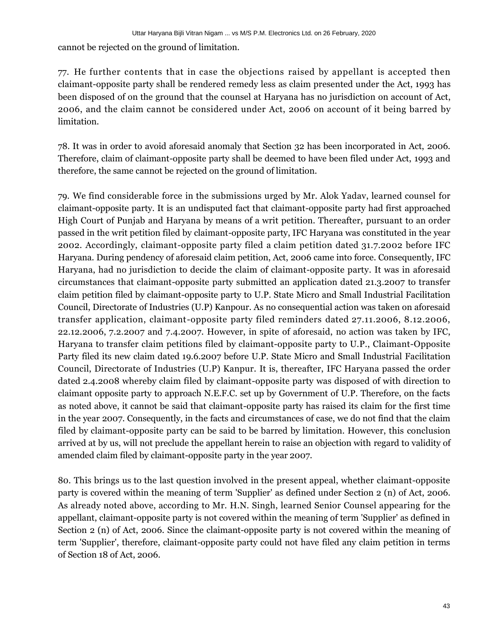cannot be rejected on the ground of limitation.

77. He further contents that in case the objections raised by appellant is accepted then claimant-opposite party shall be rendered remedy less as claim presented under the Act, 1993 has been disposed of on the ground that the counsel at Haryana has no jurisdiction on account of Act, 2006, and the claim cannot be considered under Act, 2006 on account of it being barred by limitation.

78. It was in order to avoid aforesaid anomaly that Section 32 has been incorporated in Act, 2006. Therefore, claim of claimant-opposite party shall be deemed to have been filed under Act, 1993 and therefore, the same cannot be rejected on the ground of limitation.

79. We find considerable force in the submissions urged by Mr. Alok Yadav, learned counsel for claimant-opposite party. It is an undisputed fact that claimant-opposite party had first approached High Court of Punjab and Haryana by means of a writ petition. Thereafter, pursuant to an order passed in the writ petition filed by claimant-opposite party, IFC Haryana was constituted in the year 2002. Accordingly, claimant-opposite party filed a claim petition dated 31.7.2002 before IFC Haryana. During pendency of aforesaid claim petition, Act, 2006 came into force. Consequently, IFC Haryana, had no jurisdiction to decide the claim of claimant-opposite party. It was in aforesaid circumstances that claimant-opposite party submitted an application dated 21.3.2007 to transfer claim petition filed by claimant-opposite party to U.P. State Micro and Small Industrial Facilitation Council, Directorate of Industries (U.P) Kanpour. As no consequential action was taken on aforesaid transfer application, claimant-opposite party filed reminders dated 27.11.2006, 8.12.2006, 22.12.2006, 7.2.2007 and 7.4.2007. However, in spite of aforesaid, no action was taken by IFC, Haryana to transfer claim petitions filed by claimant-opposite party to U.P., Claimant-Opposite Party filed its new claim dated 19.6.2007 before U.P. State Micro and Small Industrial Facilitation Council, Directorate of Industries (U.P) Kanpur. It is, thereafter, IFC Haryana passed the order dated 2.4.2008 whereby claim filed by claimant-opposite party was disposed of with direction to claimant opposite party to approach N.E.F.C. set up by Government of U.P. Therefore, on the facts as noted above, it cannot be said that claimant-opposite party has raised its claim for the first time in the year 2007. Consequently, in the facts and circumstances of case, we do not find that the claim filed by claimant-opposite party can be said to be barred by limitation. However, this conclusion arrived at by us, will not preclude the appellant herein to raise an objection with regard to validity of amended claim filed by claimant-opposite party in the year 2007.

80. This brings us to the last question involved in the present appeal, whether claimant-opposite party is covered within the meaning of term 'Supplier' as defined under Section 2 (n) of Act, 2006. As already noted above, according to Mr. H.N. Singh, learned Senior Counsel appearing for the appellant, claimant-opposite party is not covered within the meaning of term 'Supplier' as defined in Section 2 (n) of Act, 2006. Since the claimant-opposite party is not covered within the meaning of term 'Supplier', therefore, claimant-opposite party could not have filed any claim petition in terms of Section 18 of Act, 2006.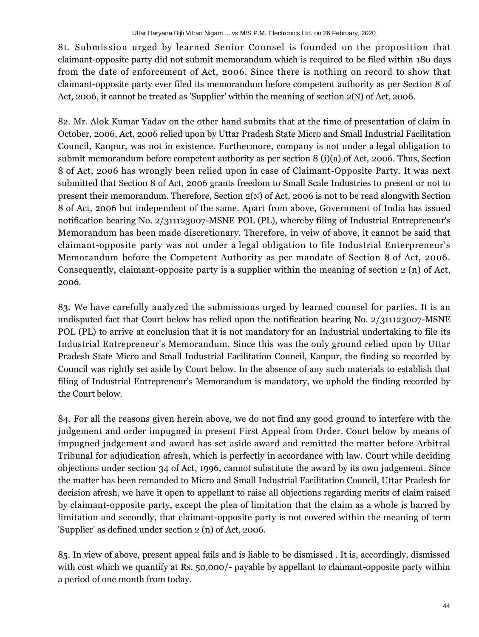81. Submission urged by learned Senior Counsel is founded on the proposition that claimant-opposite party did not submit memorandum which is required to be filed within 180 days from the date of enforcement of Act, 2006. Since there is nothing on record to show that claimant-opposite party ever filed its memorandum before competent authority as per Section 8 of Act, 2006, it cannot be treated as 'Supplier' within the meaning of section 2(N) of Act, 2006.

82. Mr. Alok Kumar Yadav on the other hand submits that at the time of presentation of claim in October, 2006, Act, 2006 relied upon by Uttar Pradesh State Micro and Small Industrial Facilitation Council, Kanpur, was not in existence. Furthermore, company is not under a legal obligation to submit memorandum before competent authority as per section 8 (i)(a) of Act, 2006. Thus, Section 8 of Act, 2006 has wrongly been relied upon in case of Claimant-Opposite Party. It was next submitted that Section 8 of Act, 2006 grants freedom to Small Scale Industries to present or not to present their memorandum. Therefore, Section 2(N) of Act, 2006 is not to be read alongwith Section 8 of Act, 2006 but independent of the same. Apart from above, Government of India has issued notification bearing No. 2/311123007-MSNE POL (PL), whereby filing of Industrial Entrepreneur's Memorandum has been made discretionary. Therefore, in veiw of above, it cannot be said that claimant-opposite party was not under a legal obligation to file Industrial Enterpreneur's Memorandum before the Competent Authority as per mandate of Section 8 of Act, 2006. Consequently, claimant-opposite party is a supplier within the meaning of section 2 (n) of Act, 2006.

83. We have carefully analyzed the submissions urged by learned counsel for parties. It is an undisputed fact that Court below has relied upon the notification bearing No. 2/311123007-MSNE POL (PL) to arrive at conclusion that it is not mandatory for an Industrial undertaking to file its Industrial Entrepreneur's Memorandum. Since this was the only ground relied upon by Uttar Pradesh State Micro and Small Industrial Facilitation Council, Kanpur, the finding so recorded by Council was rightly set aside by Court below. In the absence of any such materials to establish that filing of Industrial Entrepreneur's Memorandum is mandatory, we uphold the finding recorded by the Court below.

84. For all the reasons given herein above, we do not find any good ground to interfere with the judgement and order impugned in present First Appeal from Order. Court below by means of impugned judgement and award has set aside award and remitted the matter before Arbitral Tribunal for adjudication afresh, which is perfectly in accordance with law. Court while deciding objections under section 34 of Act, 1996, cannot substitute the award by its own judgement. Since the matter has been remanded to Micro and Small Industrial Facilitation Council, Uttar Pradesh for decision afresh, we have it open to appellant to raise all objections regarding merits of claim raised by claimant-opposite party, except the plea of limitation that the claim as a whole is barred by limitation and secondly, that claimant-opposite party is not covered within the meaning of term 'Supplier' as defined under section 2 (n) of Act, 2006.

85. In view of above, present appeal fails and is liable to be dismissed . It is, accordingly, dismissed with cost which we quantify at Rs. 50,000/- payable by appellant to claimant-opposite party within a period of one month from today.